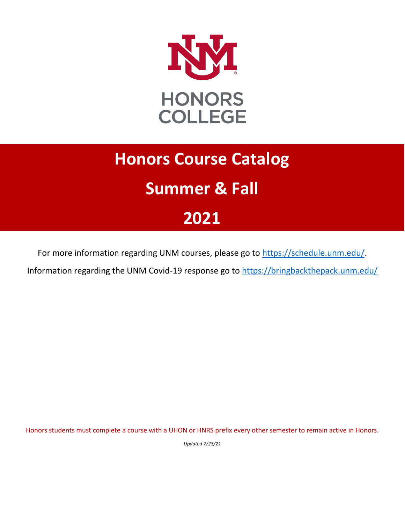

# **Honors Course Catalog Summer & Fall 2021**

For more information regarding UNM courses, please go to [https://schedule.unm.edu/.](https://schedule.unm.edu/)

Information regarding the UNM Covid-19 response go to<https://bringbackthepack.unm.edu/>

Honors students must complete a course with a UHON or HNRS prefix every other semester to remain active in Honors.

*Updated 7/23/21*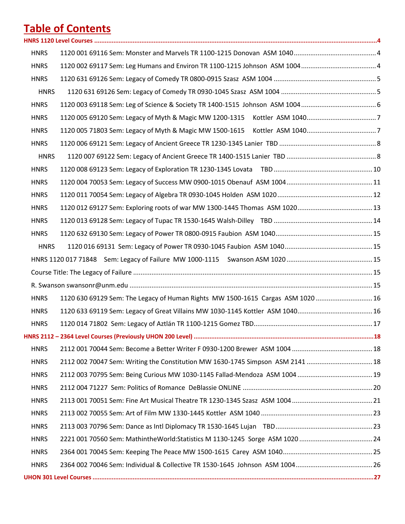# **Table of Contents**

| <b>HNRS</b> |                                                                                 |  |
|-------------|---------------------------------------------------------------------------------|--|
| <b>HNRS</b> |                                                                                 |  |
| <b>HNRS</b> |                                                                                 |  |
| <b>HNRS</b> |                                                                                 |  |
| <b>HNRS</b> |                                                                                 |  |
| <b>HNRS</b> |                                                                                 |  |
| <b>HNRS</b> |                                                                                 |  |
| <b>HNRS</b> |                                                                                 |  |
| <b>HNRS</b> |                                                                                 |  |
| <b>HNRS</b> |                                                                                 |  |
| <b>HNRS</b> |                                                                                 |  |
| <b>HNRS</b> |                                                                                 |  |
| <b>HNRS</b> |                                                                                 |  |
| <b>HNRS</b> |                                                                                 |  |
| <b>HNRS</b> |                                                                                 |  |
| <b>HNRS</b> |                                                                                 |  |
|             |                                                                                 |  |
|             |                                                                                 |  |
|             |                                                                                 |  |
| <b>HNRS</b> | 1120 630 69129 Sem: The Legacy of Human Rights MW 1500-1615 Cargas ASM 1020  16 |  |
| <b>HNRS</b> |                                                                                 |  |
| <b>HNRS</b> |                                                                                 |  |
|             |                                                                                 |  |
| <b>HNRS</b> |                                                                                 |  |
| <b>HNRS</b> |                                                                                 |  |
| <b>HNRS</b> |                                                                                 |  |
| <b>HNRS</b> |                                                                                 |  |
| <b>HNRS</b> |                                                                                 |  |
| <b>HNRS</b> |                                                                                 |  |
| <b>HNRS</b> |                                                                                 |  |
| <b>HNRS</b> |                                                                                 |  |
| <b>HNRS</b> |                                                                                 |  |
| <b>HNRS</b> |                                                                                 |  |
|             |                                                                                 |  |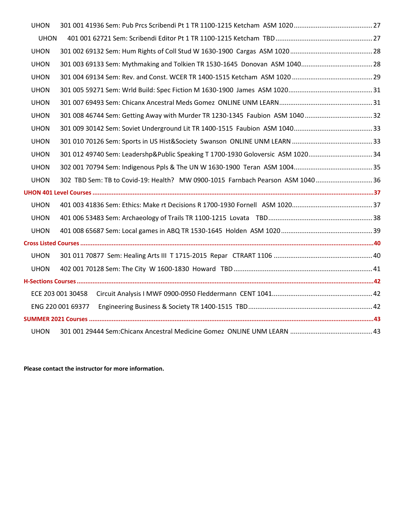| <b>UHON</b>       |                                                                                |  |
|-------------------|--------------------------------------------------------------------------------|--|
| <b>UHON</b>       |                                                                                |  |
| <b>UHON</b>       |                                                                                |  |
| <b>UHON</b>       |                                                                                |  |
| <b>UHON</b>       |                                                                                |  |
| <b>UHON</b>       |                                                                                |  |
| <b>UHON</b>       |                                                                                |  |
| <b>UHON</b>       |                                                                                |  |
| <b>UHON</b>       |                                                                                |  |
| <b>UHON</b>       |                                                                                |  |
| <b>UHON</b>       | 301 012 49740 Sem: Leadershp&Public Speaking T 1700-1930 Goloversic ASM 102034 |  |
| <b>UHON</b>       |                                                                                |  |
| <b>UHON</b>       |                                                                                |  |
|                   |                                                                                |  |
| <b>UHON</b>       |                                                                                |  |
| <b>UHON</b>       |                                                                                |  |
| <b>UHON</b>       |                                                                                |  |
|                   |                                                                                |  |
| <b>UHON</b>       |                                                                                |  |
| <b>UHON</b>       |                                                                                |  |
|                   |                                                                                |  |
| ECE 203 001 30458 |                                                                                |  |
| ENG 220 001 69377 |                                                                                |  |
|                   |                                                                                |  |
| <b>UHON</b>       |                                                                                |  |

**Please contact the instructor for more information.**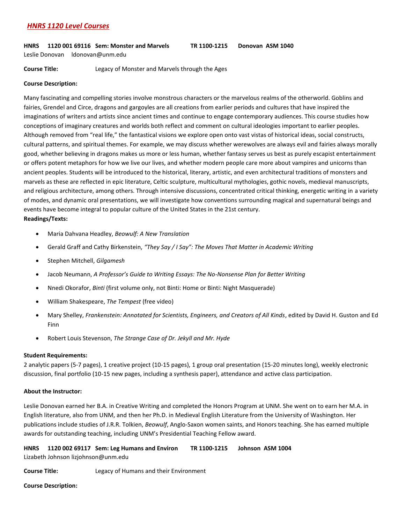# <span id="page-3-0"></span>*HNRS 1120 Level Courses*

# <span id="page-3-1"></span>**HNRS 1120 001 69116 Sem: Monster and Marvels TR 1100-1215 Donovan ASM 1040**

Leslie Donovan ldonovan@unm.edu

**Course Title:** Legacy of Monster and Marvels through the Ages

# **Course Description:**

Many fascinating and compelling stories involve monstrous characters or the marvelous realms of the otherworld. Goblins and fairies, Grendel and Circe, dragons and gargoyles are all creations from earlier periods and cultures that have inspired the imaginations of writers and artists since ancient times and continue to engage contemporary audiences. This course studies how conceptions of imaginary creatures and worlds both reflect and comment on cultural ideologies important to earlier peoples. Although removed from "real life," the fantastical visions we explore open onto vast vistas of historical ideas, social constructs, cultural patterns, and spiritual themes. For example, we may discuss whether werewolves are always evil and fairies always morally good, whether believing in dragons makes us more or less human, whether fantasy serves us best as purely escapist entertainment or offers potent metaphors for how we live our lives, and whether modern people care more about vampires and unicorns than ancient peoples. Students will be introduced to the historical, literary, artistic, and even architectural traditions of monsters and marvels as these are reflected in epic literature, Celtic sculpture, multicultural mythologies, gothic novels, medieval manuscripts, and religious architecture, among others. Through intensive discussions, concentrated critical thinking, energetic writing in a variety of modes, and dynamic oral presentations, we will investigate how conventions surrounding magical and supernatural beings and events have become integral to popular culture of the United States in the 21st century. **Readings/Texts:** 

- Maria Dahvana Headley, *Beowulf: A New Translation*
- Gerald Graff and Cathy Birkenstein, *"They Say / I Say": The Moves That Matter in Academic Writing*
- Stephen Mitchell, *Gilgamesh*
- Jacob Neumann, *A Professor's Guide to Writing Essays: The No-Nonsense Plan for Better Writing*
- Nnedi Okorafor, *Binti* (first volume only, not Binti: Home or Binti: Night Masquerade)
- William Shakespeare, *The Tempest* (free video)
- Mary Shelley, *Frankenstein: Annotated for Scientists, Engineers, and Creators of All Kinds*, edited by David H. Guston and Ed Finn
- Robert Louis Stevenson, *The Strange Case of Dr. Jekyll and Mr. Hyde*

# **Student Requirements:**

2 analytic papers (5-7 pages), 1 creative project (10-15 pages), 1 group oral presentation (15-20 minutes long), weekly electronic discussion, final portfolio (10-15 new pages, including a synthesis paper), attendance and active class participation.

# **About the Instructor:**

Leslie Donovan earned her B.A. in Creative Writing and completed the Honors Program at UNM. She went on to earn her M.A. in English literature, also from UNM, and then her Ph.D. in Medieval English Literature from the University of Washington. Her publications include studies of J.R.R. Tolkien, *Beowulf*, Anglo-Saxon women saints, and Honors teaching. She has earned multiple awards for outstanding teaching, including UNM's Presidential Teaching Fellow award.

<span id="page-3-2"></span>**HNRS 1120 002 69117 Sem: Leg Humans and Environ TR 1100-1215 Johnson ASM 1004** Lizabeth Johnson lizjohnson@unm.edu

**Course Title:** Legacy of Humans and their Environment

**Course Description:**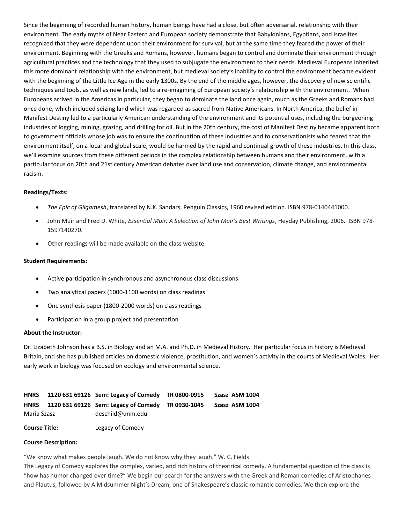Since the beginning of recorded human history, human beings have had a close, but often adversarial, relationship with their environment. The early myths of Near Eastern and European society demonstrate that Babylonians, Egyptians, and Israelites recognized that they were dependent upon their environment for survival, but at the same time they feared the power of their environment. Beginning with the Greeks and Romans, however, humans began to control and dominate their environment through agricultural practices and the technology that they used to subjugate the environment to their needs. Medieval Europeans inherited this more dominant relationship with the environment, but medieval society's inability to control the environment became evident with the beginning of the Little Ice Age in the early 1300s. By the end of the middle ages, however, the discovery of new scientific techniques and tools, as well as new lands, led to a re-imagining of European society's relationship with the environment. When Europeans arrived in the Americas in particular, they began to dominate the land once again, much as the Greeks and Romans had once done, which included seizing land which was regarded as sacred from Native Americans. In North America, the belief in Manifest Destiny led to a particularly American understanding of the environment and its potential uses, including the burgeoning industries of logging, mining, grazing, and drilling for oil. But in the 20th century, the cost of Manifest Destiny became apparent both to government officials whose job was to ensure the continuation of these industries and to conservationists who feared that the environment itself, on a local and global scale, would be harmed by the rapid and continual growth of these industries. In this class, we'll examine sources from these different periods in the complex relationship between humans and their environment, with a particular focus on 20th and 21st century American debates over land use and conservation, climate change, and environmental racism.

#### **Readings/Texts:**

- *The Epic of Gilgamesh*, translated by N.K. Sandars, Penguin Classics, 1960 revised edition. ISBN 978-0140441000.
- John Muir and Fred D. White, *Essential Muir: A Selection of John Muir's Best Writings*, Heyday Publishing, 2006. ISBN 978- 1597140270.
- Other readings will be made available on the class website.

#### **Student Requirements:**

- Active participation in synchronous and asynchronous class discussions
- Two analytical papers (1000-1100 words) on class readings
- One synthesis paper (1800-2000 words) on class readings
- Participation in a group project and presentation

#### **About the Instructor:**

Dr. Lizabeth Johnson has a B.S. in Biology and an M.A. and Ph.D. in Medieval History. Her particular focus in history is Medieval Britain, and she has published articles on domestic violence, prostitution, and women's activity in the courts of Medieval Wales. Her early work in biology was focused on ecology and environmental science.

<span id="page-4-1"></span><span id="page-4-0"></span>

| <b>HNRS</b>          |  | 1120 631 69126 Sem: Legacy of Comedy TR 0800-0915      | Szasz ASM 1004 |
|----------------------|--|--------------------------------------------------------|----------------|
|                      |  | HNRS 1120 631 69126 Sem: Legacy of Comedy TR 0930-1045 | Szasz ASM 1004 |
| Maria Szasz          |  | deschild@unm.edu                                       |                |
| <b>Course Title:</b> |  | Legacy of Comedy                                       |                |

#### **Course Description:**

"We know what makes people laugh. We do not know why they laugh." W. C. Fields

The Legacy of Comedy explores the complex, varied, and rich history of theatrical comedy. A fundamental question of the class is "how has humor changed over time?" We begin our search for the answers with the Greek and Roman comedies of Aristophanes and Plautus, followed by A Midsummer Night's Dream, one of Shakespeare's classic romantic comedies. We then explore the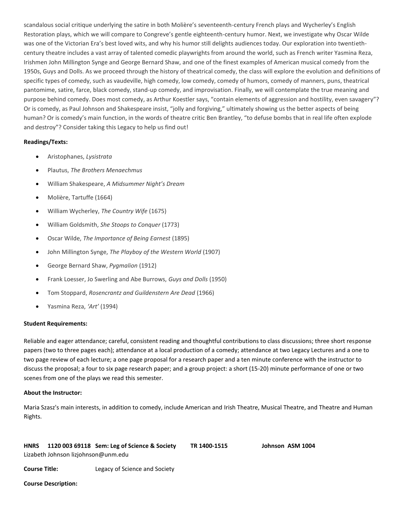scandalous social critique underlying the satire in both Molière's seventeenth-century French plays and Wycherley's English Restoration plays, which we will compare to Congreve's gentle eighteenth-century humor. Next, we investigate why Oscar Wilde was one of the Victorian Era's best loved wits, and why his humor still delights audiences today. Our exploration into twentiethcentury theatre includes a vast array of talented comedic playwrights from around the world, such as French writer Yasmina Reza, Irishmen John Millington Synge and George Bernard Shaw, and one of the finest examples of American musical comedy from the 1950s, Guys and Dolls. As we proceed through the history of theatrical comedy, the class will explore the evolution and definitions of specific types of comedy, such as vaudeville, high comedy, low comedy, comedy of humors, comedy of manners, puns, theatrical pantomime, satire, farce, black comedy, stand-up comedy, and improvisation. Finally, we will contemplate the true meaning and purpose behind comedy. Does most comedy, as Arthur Koestler says, "contain elements of aggression and hostility, even savagery"? Or is comedy, as Paul Johnson and Shakespeare insist, "jolly and forgiving," ultimately showing us the better aspects of being human? Or is comedy's main function, in the words of theatre critic Ben Brantley, "to defuse bombs that in real life often explode and destroy"? Consider taking this Legacy to help us find out!

# **Readings/Texts:**

- Aristophanes, *Lysistrata*
- Plautus, *The Brothers Menaechmus*
- William Shakespeare, *A Midsummer Night's Dream*
- Molière, Tartuffe (1664)
- William Wycherley, *The Country Wife* (1675)
- William Goldsmith, *She Stoops to Conquer* (1773)
- Oscar Wilde, *The Importance of Being Earnest* (1895)
- John Millington Synge, *The Playboy of the Western World* (1907)
- George Bernard Shaw, *Pygmalion* (1912)
- Frank Loesser, Jo Swerling and Abe Burrows, *Guys and Dolls* (1950)
- Tom Stoppard, *Rosencrantz and Guildenstern Are Dead* (1966)
- Yasmina Reza, *'Art'* (1994)

# **Student Requirements:**

Reliable and eager attendance; careful, consistent reading and thoughtful contributions to class discussions; three short response papers (two to three pages each); attendance at a local production of a comedy; attendance at two Legacy Lectures and a one to two page review of each lecture; a one page proposal for a research paper and a ten minute conference with the instructor to discuss the proposal; a four to six page research paper; and a group project: a short (15-20) minute performance of one or two scenes from one of the plays we read this semester.

# **About the Instructor:**

Maria Szasz's main interests, in addition to comedy, include American and Irish Theatre, Musical Theatre, and Theatre and Human Rights.

<span id="page-5-0"></span>

| <b>HNRS</b> |                                     | 1120 003 69118 Sem: Leg of Science & Society | TR 1400-1515 | Johnson ASM 1004 |
|-------------|-------------------------------------|----------------------------------------------|--------------|------------------|
|             | Lizabeth Johnson lizjohnson@unm.edu |                                              |              |                  |

**Course Title:** Legacy of Science and Society

**Course Description:**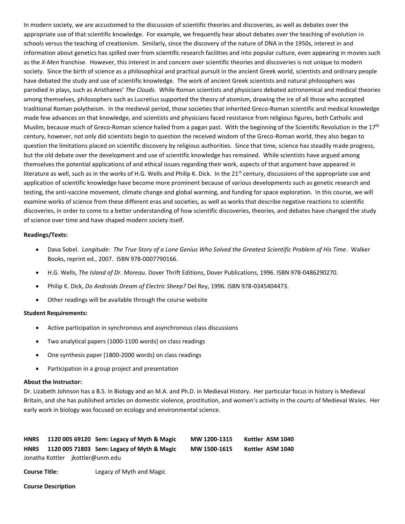In modern society, we are accustomed to the discussion of scientific theories and discoveries, as well as debates over the appropriate use of that scientific knowledge. For example, we frequently hear about debates over the teaching of evolution in schools versus the teaching of creationism. Similarly, since the discovery of the nature of DNA in the 1950s, interest in and information about genetics has spilled over from scientific research facilities and into popular culture, even appearing in movies such as the *X-Men* franchise. However, this interest in and concern over scientific theories and discoveries is not unique to modern society. Since the birth of science as a philosophical and practical pursuit in the ancient Greek world, scientists and ordinary people have debated the study and use of scientific knowledge. The work of ancient Greek scientists and natural philosophers was parodied in plays, such as Aristhanes' *The Clouds*. While Roman scientists and physicians debated astronomical and medical theories among themselves, philosophers such as Lucretius supported the theory of atomism, drawing the ire of all those who accepted traditional Roman polytheism. In the medieval period, those societies that inherited Greco-Roman scientific and medical knowledge made few advances on that knowledge, and scientists and physicians faced resistance from religious figures, both Catholic and Muslim, because much of Greco-Roman science hailed from a pagan past. With the beginning of the Scientific Revolution in the  $17<sup>th</sup>$ century, however, not only did scientists begin to question the received wisdom of the Greco-Roman world, they also began to question the limitations placed on scientific discovery by religious authorities. Since that time, science has steadily made progress, but the old debate over the development and use of scientific knowledge has remained. While scientists have argued among themselves the potential applications of and ethical issues regarding their work, aspects of that argument have appeared in literature as well, such as in the works of H.G. Wells and Philip K. Dick. In the 21<sup>st</sup> century, discussions of the appropriate use and application of scientific knowledge have become more prominent because of various developments such as genetic research and testing, the anti-vaccine movement, climate change and global warming, and funding for space exploration. In this course, we will examine works of science from these different eras and societies, as well as works that describe negative reactions to scientific discoveries, in order to come to a better understanding of how scientific discoveries, theories, and debates have changed the study of science over time and have shaped modern society itself.

#### **Readings/Texts:**

- Dava Sobel. *Longitude: The True Story of a Lone Genius Who Solved the Greatest Scientific Problem of His Time*. Walker Books, reprint ed., 2007. ISBN 978-0007790166.
- H.G. Wells, *The Island of Dr. Moreau.* Dover Thrift Editions, Dover Publications, 1996. ISBN 978-0486290270.
- Philip K. Dick, *Do Androids Dream of Electric Sheep?* Del Rey, 1996. ISBN 978-0345404473.
- Other readings will be available through the course website

# **Student Requirements:**

- Active participation in synchronous and asynchronous class discussions
- Two analytical papers (1000-1100 words) on class readings
- One synthesis paper (1800-2000 words) on class readings
- Participation in a group project and presentation

#### **About the Instructor:**

Dr. Lizabeth Johnson has a B.S. in Biology and an M.A. and Ph.D. in Medieval History. Her particular focus in history is Medieval Britain, and she has published articles on domestic violence, prostitution, and women's activity in the courts of Medieval Wales. Her early work in biology was focused on ecology and environmental science.

<span id="page-6-1"></span><span id="page-6-0"></span>

| <b>HNRS</b> |  | 1120 005 69120 Sem: Legacy of Myth & Magic | MW 1200-1315 | Kottler ASM 1040 |
|-------------|--|--------------------------------------------|--------------|------------------|
| <b>HNRS</b> |  | 1120 005 71803 Sem: Legacy of Myth & Magic | MW 1500-1615 | Kottler ASM 1040 |
|             |  | Jonatha Kottler jkottler@unm.edu           |              |                  |

**Course Title:** Legacy of Myth and Magic

#### **Course Description**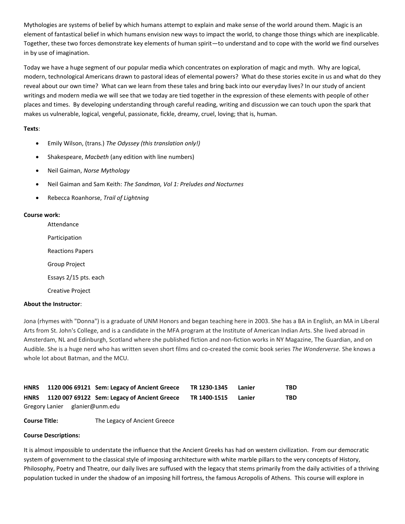Mythologies are systems of belief by which humans attempt to explain and make sense of the world around them. Magic is an element of fantastical belief in which humans envision new ways to impact the world, to change those things which are inexplicable. Together, these two forces demonstrate key elements of human spirit—to understand and to cope with the world we find ourselves in by use of imagination.

Today we have a huge segment of our popular media which concentrates on exploration of magic and myth. Why are logical, modern, technological Americans drawn to pastoral ideas of elemental powers? What do these stories excite in us and what do they reveal about our own time? What can we learn from these tales and bring back into our everyday lives? In our study of ancient writings and modern media we will see that we today are tied together in the expression of these elements with people of other places and times. By developing understanding through careful reading, writing and discussion we can touch upon the spark that makes us vulnerable, logical, vengeful, passionate, fickle, dreamy, cruel, loving; that is, human.

# **Texts**:

- Emily Wilson, (trans.) *The Odyssey (this translation only!)*
- Shakespeare, *Macbeth* (any edition with line numbers)
- Neil Gaiman, *Norse Mythology*
- Neil Gaiman and Sam Keith: *The Sandman, Vol 1: Preludes and Nocturnes*
- Rebecca Roanhorse, *Trail of Lightning*

#### **Course work:**

Attendance

Participation

Reactions Papers

Group Project

Essays 2/15 pts. each

Creative Project

# **About the Instructor**:

Jona (rhymes with "Donna") is a graduate of UNM Honors and began teaching here in 2003. She has a BA in English, an MA in Liberal Arts from St. John's College, and is a candidate in the MFA program at the Institute of American Indian Arts. She lived abroad in Amsterdam, NL and Edinburgh, Scotland where she published fiction and non-fiction works in NY Magazine, The Guardian, and on Audible. She is a huge nerd who has written seven short films and co-created the comic book series *The Wonderverse.* She knows a whole lot about Batman, and the MCU.

<span id="page-7-1"></span><span id="page-7-0"></span>

| <b>HNRS</b> |  | 1120 006 69121 Sem: Legacy of Ancient Greece | TR 1230-1345 | Lanier | TBD. |
|-------------|--|----------------------------------------------|--------------|--------|------|
| <b>HNRS</b> |  | 1120 007 69122 Sem: Legacy of Ancient Greece | TR 1400-1515 | Lanier | TBD. |
|             |  | Gregory Lanier glanier@unm.edu               |              |        |      |

**Course Title:** The Legacy of Ancient Greece

#### **Course Descriptions:**

It is almost impossible to understate the influence that the Ancient Greeks has had on western civilization. From our democratic system of government to the classical style of imposing architecture with white marble pillars to the very concepts of History, Philosophy, Poetry and Theatre, our daily lives are suffused with the legacy that stems primarily from the daily activities of a thriving population tucked in under the shadow of an imposing hill fortress, the famous Acropolis of Athens. This course will explore in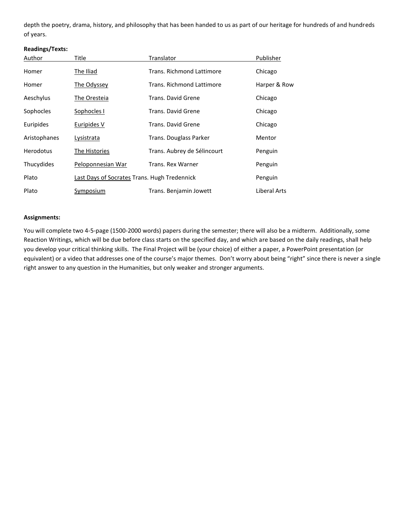depth the poetry, drama, history, and philosophy that has been handed to us as part of our heritage for hundreds of and hundreds of years.

# **Readings/Texts:**

| Author           | Title                                        | Translator                  | Publisher    |
|------------------|----------------------------------------------|-----------------------------|--------------|
| Homer            | <b>The Iliad</b>                             | Trans. Richmond Lattimore   | Chicago      |
| Homer            | The Odyssey                                  | Trans. Richmond Lattimore   | Harper & Row |
| Aeschylus        | The Oresteia                                 | Trans. David Grene          | Chicago      |
| Sophocles        | Sophocles I                                  | Trans. David Grene          | Chicago      |
| Euripides        | Euripides V                                  | Trans. David Grene          | Chicago      |
| Aristophanes     | Lysistrata                                   | Trans. Douglass Parker      | Mentor       |
| <b>Herodotus</b> | The Histories                                | Trans. Aubrey de Sélincourt | Penguin      |
| Thucydides       | Peloponnesian War                            | <b>Trans. Rex Warner</b>    | Penguin      |
| Plato            | Last Days of Socrates Trans. Hugh Tredennick |                             | Penguin      |
| Plato            | Symposium                                    | Trans. Benjamin Jowett      | Liberal Arts |

# **Assignments:**

You will complete two 4-5-page (1500-2000 words) papers during the semester; there will also be a midterm. Additionally, some Reaction Writings, which will be due before class starts on the specified day, and which are based on the daily readings, shall help you develop your critical thinking skills. The Final Project will be (your choice) of either a paper, a PowerPoint presentation (or equivalent) or a video that addresses one of the course's major themes. Don't worry about being "right" since there is never a single right answer to any question in the Humanities, but only weaker and stronger arguments.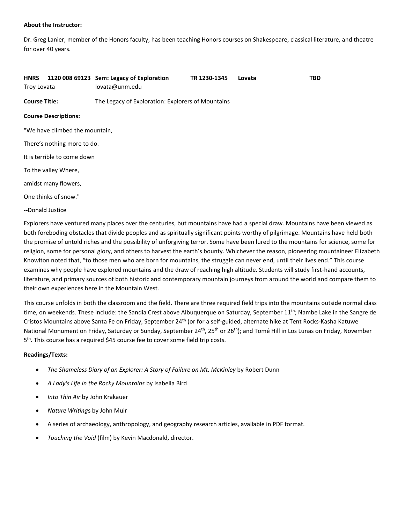#### **About the Instructor:**

Dr. Greg Lanier, member of the Honors faculty, has been teaching Honors courses on Shakespeare, classical literature, and theatre for over 40 years.

<span id="page-9-0"></span>

| <b>HNRS</b><br>Troy Lovata |                                | 1120 008 69123 Sem: Legacy of Exploration<br>lovata@unm.edu | TR 1230-1345 | Lovata | <b>TBD</b> |
|----------------------------|--------------------------------|-------------------------------------------------------------|--------------|--------|------------|
| <b>Course Title:</b>       |                                | The Legacy of Exploration: Explorers of Mountains           |              |        |            |
|                            | <b>Course Descriptions:</b>    |                                                             |              |        |            |
|                            | "We have climbed the mountain, |                                                             |              |        |            |
|                            | There's nothing more to do.    |                                                             |              |        |            |
|                            | It is terrible to come down    |                                                             |              |        |            |
|                            | To the valley Where,           |                                                             |              |        |            |
|                            | amidst many flowers,           |                                                             |              |        |            |
|                            | One thinks of snow."           |                                                             |              |        |            |
| --Donald Justice           |                                |                                                             |              |        |            |

Explorers have ventured many places over the centuries, but mountains have had a special draw. Mountains have been viewed as both foreboding obstacles that divide peoples and as spiritually significant points worthy of pilgrimage. Mountains have held both the promise of untold riches and the possibility of unforgiving terror. Some have been lured to the mountains for science, some for religion, some for personal glory, and others to harvest the earth's bounty. Whichever the reason, pioneering mountaineer Elizabeth Knowlton noted that, "to those men who are born for mountains, the struggle can never end, until their lives end." This course examines why people have explored mountains and the draw of reaching high altitude. Students will study first-hand accounts, literature, and primary sources of both historic and contemporary mountain journeys from around the world and compare them to their own experiences here in the Mountain West.

This course unfolds in both the classroom and the field. There are three required field trips into the mountains outside normal class time, on weekends. These include: the Sandia Crest above Albuquerque on Saturday, September 11<sup>th</sup>; Nambe Lake in the Sangre de Cristos Mountains above Santa Fe on Friday, September 24th (or for a self-guided, alternate hike at Tent Rocks-Kasha Katuwe National Monument on Friday, Saturday or Sunday, September 24<sup>th</sup>, 25<sup>th</sup> or 26<sup>th</sup>); and Tomé Hill in Los Lunas on Friday, November 5<sup>th</sup>. This course has a required \$45 course fee to cover some field trip costs.

# **Readings/Texts:**

- *The Shameless Diary of an Explorer: A Story of Failure on Mt. McKinley* by Robert Dunn
- *A Lady's Life in the Rocky Mountains* by Isabella Bird
- *Into Thin Air* by John Krakauer
- *Nature Writing*s by John Muir
- A series of archaeology, anthropology, and geography research articles, available in PDF format.
- *Touching the Void* (film) by Kevin Macdonald, director.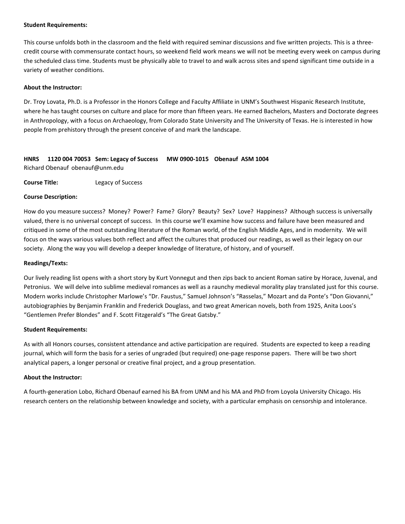#### **Student Requirements:**

This course unfolds both in the classroom and the field with required seminar discussions and five written projects. This is a threecredit course with commensurate contact hours, so weekend field work means we will not be meeting every week on campus during the scheduled class time. Students must be physically able to travel to and walk across sites and spend significant time outside in a variety of weather conditions.

#### **About the Instructor:**

Dr. Troy Lovata, Ph.D. is a Professor in the Honors College and Faculty Affiliate in UNM's Southwest Hispanic Research Institute, where he has taught courses on culture and place for more than fifteen years. He earned Bachelors, Masters and Doctorate degrees in Anthropology, with a focus on Archaeology, from Colorado State University and The University of Texas. He is interested in how people from prehistory through the present conceive of and mark the landscape.

# <span id="page-10-0"></span>**HNRS 1120 004 70053 Sem: Legacy of Success MW 0900-1015 Obenauf ASM 1004** Richard Obenauf obenauf@unm.edu

**Course Title:** Legacy of Success

#### **Course Description:**

How do you measure success? Money? Power? Fame? Glory? Beauty? Sex? Love? Happiness? Although success is universally valued, there is no universal concept of success. In this course we'll examine how success and failure have been measured and critiqued in some of the most outstanding literature of the Roman world, of the English Middle Ages, and in modernity. We will focus on the ways various values both reflect and affect the cultures that produced our readings, as well as their legacy on our society. Along the way you will develop a deeper knowledge of literature, of history, and of yourself.

#### **Readings/Texts:**

Our lively reading list opens with a short story by Kurt Vonnegut and then zips back to ancient Roman satire by Horace, Juvenal, and Petronius. We will delve into sublime medieval romances as well as a raunchy medieval morality play translated just for this course. Modern works include Christopher Marlowe's "Dr. Faustus," Samuel Johnson's "Rasselas," Mozart and da Ponte's "Don Giovanni," autobiographies by Benjamin Franklin and Frederick Douglass, and two great American novels, both from 1925, Anita Loos's "Gentlemen Prefer Blondes" and F. Scott Fitzgerald's "The Great Gatsby."

#### **Student Requirements:**

As with all Honors courses, consistent attendance and active participation are required. Students are expected to keep a reading journal, which will form the basis for a series of ungraded (but required) one-page response papers. There will be two short analytical papers, a longer personal or creative final project, and a group presentation.

#### **About the Instructor:**

A fourth-generation Lobo, Richard Obenauf earned his BA from UNM and his MA and PhD from Loyola University Chicago. His research centers on the relationship between knowledge and society, with a particular emphasis on censorship and intolerance.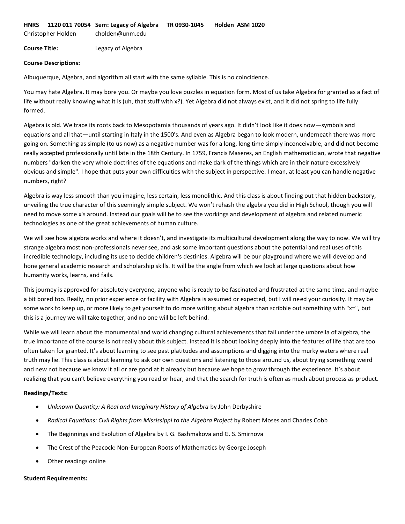<span id="page-11-0"></span>**HNRS 1120 011 70054 Sem: Legacy of Algebra TR 0930-1045 Holden ASM 1020**

Christopher Holden cholden@unm.edu

**Course Title:** Legacy of Algebra

#### **Course Descriptions:**

Albuquerque, Algebra, and algorithm all start with the same syllable. This is no coincidence.

You may hate Algebra. It may bore you. Or maybe you love puzzles in equation form. Most of us take Algebra for granted as a fact of life without really knowing what it is (uh, that stuff with x?). Yet Algebra did not always exist, and it did not spring to life fully formed.

Algebra is old. We trace its roots back to Mesopotamia thousands of years ago. It didn't look like it does now—symbols and equations and all that—until starting in Italy in the 1500's. And even as Algebra began to look modern, underneath there was more going on. Something as simple (to us now) as a negative number was for a long, long time simply inconceivable, and did not become really accepted professionally until late in the 18th Century. In 1759, Francis Maseres, an English mathematician, wrote that negative numbers "darken the very whole doctrines of the equations and make dark of the things which are in their nature excessively obvious and simple". I hope that puts your own difficulties with the subject in perspective. I mean, at least you can handle negative numbers, right?

Algebra is way less smooth than you imagine, less certain, less monolithic. And this class is about finding out that hidden backstory, unveiling the true character of this seemingly simple subject. We won't rehash the algebra you did in High School, though you will need to move some x's around. Instead our goals will be to see the workings and development of algebra and related numeric technologies as one of the great achievements of human culture.

We will see how algebra works and where it doesn't, and investigate its multicultural development along the way to now. We will try strange algebra most non-professionals never see, and ask some important questions about the potential and real uses of this incredible technology, including its use to decide children's destinies. Algebra will be our playground where we will develop and hone general academic research and scholarship skills. It will be the angle from which we look at large questions about how humanity works, learns, and fails.

This journey is approved for absolutely everyone, anyone who is ready to be fascinated and frustrated at the same time, and maybe a bit bored too. Really, no prior experience or facility with Algebra is assumed or expected, but I will need your curiosity. It may be some work to keep up, or more likely to get yourself to do more writing about algebra than scribble out something with "x=", but this is a journey we will take together, and no one will be left behind.

While we will learn about the monumental and world changing cultural achievements that fall under the umbrella of algebra, the true importance of the course is not really about this subject. Instead it is about looking deeply into the features of life that are too often taken for granted. It's about learning to see past platitudes and assumptions and digging into the murky waters where real truth may lie. This class is about learning to ask our own questions and listening to those around us, about trying something weird and new not because we know it all or are good at it already but because we hope to grow through the experience. It's about realizing that you can't believe everything you read or hear, and that the search for truth is often as much about process as product.

# **Readings/Texts:**

- *Unknown Quantity: A Real and Imaginary History of Algebra* by John Derbyshire
- *Radical Equations: Civil Rights from Mississippi to the Algebra Project* by Robert Moses and Charles Cobb
- The Beginnings and Evolution of Algebra by I. G. Bashmakova and G. S. Smirnova
- The Crest of the Peacock: Non-European Roots of Mathematics by George Joseph
- Other readings online

#### **Student Requirements:**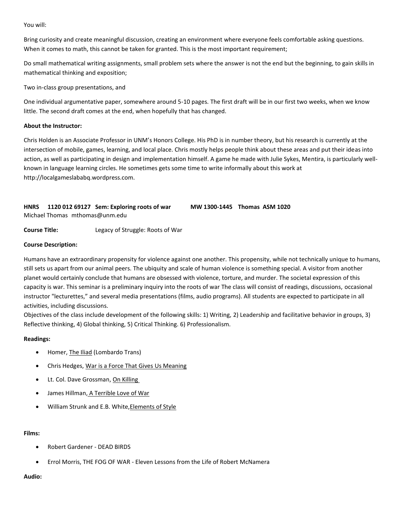You will:

Bring curiosity and create meaningful discussion, creating an environment where everyone feels comfortable asking questions. When it comes to math, this cannot be taken for granted. This is the most important requirement;

Do small mathematical writing assignments, small problem sets where the answer is not the end but the beginning, to gain skills in mathematical thinking and exposition;

Two in-class group presentations, and

One individual argumentative paper, somewhere around 5-10 pages. The first draft will be in our first two weeks, when we know little. The second draft comes at the end, when hopefully that has changed.

#### **About the Instructor:**

Chris Holden is an Associate Professor in UNM's Honors College. His PhD is in number theory, but his research is currently at the intersection of mobile, games, learning, and local place. Chris mostly helps people think about these areas and put their ideas into action, as well as participating in design and implementation himself. A game he made with Julie Sykes, Mentira, is particularly wellknown in language learning circles. He sometimes gets some time to write informally about this work at http://localgameslababq.wordpress.com.

<span id="page-12-0"></span>**HNRS 1120 012 69127 Sem: Exploring roots of war MW 1300-1445 Thomas ASM 1020** Michael Thomas mthomas@unm.edu

**Course Title:** Legacy of Struggle: Roots of War

#### **Course Description:**

Humans have an extraordinary propensity for violence against one another. This propensity, while not technically unique to humans, still sets us apart from our animal peers. The ubiquity and scale of human violence is something special. A visitor from another planet would certainly conclude that humans are obsessed with violence, torture, and murder. The societal expression of this capacity is war. This seminar is a preliminary inquiry into the roots of war The class will consist of readings, discussions, occasional instructor "lecturettes," and several media presentations (films, audio programs). All students are expected to participate in all activities, including discussions.

Objectives of the class include development of the following skills: 1) Writing, 2) Leadership and facilitative behavior in groups, 3) Reflective thinking, 4) Global thinking, 5) Critical Thinking. 6) Professionalism.

# **Readings:**

- Homer, The Iliad (Lombardo Trans)
- Chris Hedges, War is a Force That Gives Us Meaning
- Lt. Col. Dave Grossman, On Killing
- James Hillman, A Terrible Love of War
- William Strunk and E.B. White, Elements of Style

#### **Films:**

- Robert Gardener DEAD BIRDS
- Errol Morris, THE FOG OF WAR Eleven Lessons from the Life of Robert McNamera

# **Audio:**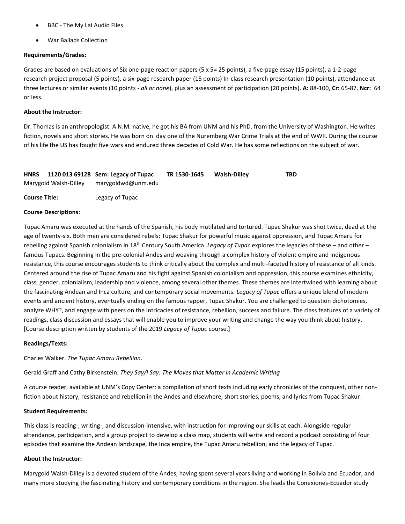- BBC The My Lai Audio Files
- War Ballads Collection

# **Requirements/Grades:**

Grades are based on evaluations of Six one-page reaction papers (5 x 5= 25 points), a five-page essay (15 points), a 1-2-page research project proposal (5 points), a six-page research paper (15 points) In-class research presentation (10 points), attendance at three lectures or similar events (10 points - *all or none*), plus an assessment of participation (20 points). **A:** 88-100, **Cr:** 65-87, **Ncr:** 64 or less.

#### **About the Instructor:**

Dr. Thomas is an anthropologist. A N.M. native, he got his BA from UNM and his PhD. from the University of Washington. He writes fiction, novels and short stories. He was born on day one of the Nuremberg War Crime Trials at the end of WWII. During the course of his life the US has fought five wars and endured three decades of Cold War. He has some reflections on the subject of war.

<span id="page-13-0"></span>

|                       | HNRS 1120 013 69128 Sem: Legacy of Tupac | TR 1530-1645 | Walsh-Dilley | <b>TBD</b> |
|-----------------------|------------------------------------------|--------------|--------------|------------|
| Marygold Walsh-Dilley | marygoldwd@unm.edu                       |              |              |            |

**Course Title:** Legacy of Tupac

#### **Course Descriptions:**

Tupac Amaru was executed at the hands of the Spanish, his body mutilated and tortured. Tupac Shakur was shot twice, dead at the age of twenty-six. Both men are considered rebels: Tupac Shakur for powerful music against oppression, and Tupac Amaru for rebelling against Spanish colonialism in 18th Century South America. *Legacy of Tupac* explores the legacies of these – and other – famous Tupacs. Beginning in the pre-colonial Andes and weaving through a complex history of violent empire and indigenous resistance, this course encourages students to think critically about the complex and multi-faceted history of resistance of all kinds. Centered around the rise of Tupac Amaru and his fight against Spanish colonialism and oppression, this course examines ethnicity, class, gender, colonialism, leadership and violence, among several other themes. These themes are intertwined with learning about the fascinating Andean and Inca culture, and contemporary social movements. *Legacy of Tupac* offers a unique blend of modern events and ancient history, eventually ending on the famous rapper, Tupac Shakur. You are challenged to question dichotomies, analyze WHY?, and engage with peers on the intricacies of resistance, rebellion, success and failure. The class features of a variety of readings, class discussion and essays that will enable you to improve your writing and change the way you think about history. [Course description written by students of the 2019 *Legacy of Tupac* course.]

# **Readings/Texts:**

Charles Walker. *The Tupac Amaru Rebellion*.

Gerald Graff and Cathy Birkenstein. *They Say/I Say: The Moves that Matter in Academic Writing*

A course reader, available at UNM's Copy Center: a compilation of short texts including early chronicles of the conquest, other nonfiction about history, resistance and rebellion in the Andes and elsewhere, short stories, poems, and lyrics from Tupac Shakur.

#### **Student Requirements:**

This class is reading-, writing-, and discussion-intensive, with instruction for improving our skills at each. Alongside regular attendance, participation, and a group project to develop a class map, students will write and record a podcast consisting of four episodes that examine the Andean landscape, the Inca empire, the Tupac Amaru rebellion, and the legacy of Tupac.

# **About the Instructor:**

Marygold Walsh-Dilley is a devoted student of the Andes, having spent several years living and working in Bolivia and Ecuador, and many more studying the fascinating history and contemporary conditions in the region. She leads the Conexiones-Ecuador study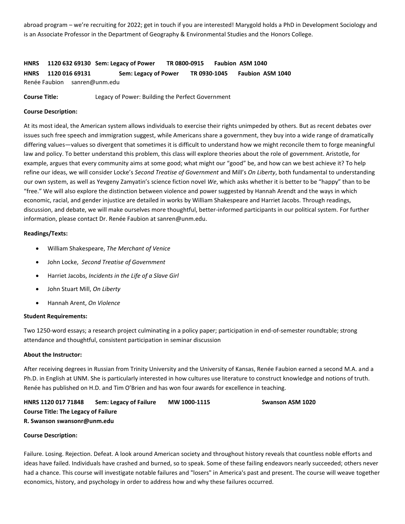abroad program – we're recruiting for 2022; get in touch if you are interested! Marygold holds a PhD in Development Sociology and is an Associate Professor in the Department of Geography & Environmental Studies and the Honors College.

<span id="page-14-1"></span><span id="page-14-0"></span>**HNRS 1120 632 69130 Sem: Legacy of Power TR 0800-0915 Faubion ASM 1040 HNRS 1120 016 69131 Sem: Legacy of Power TR 0930-1045 Faubion ASM 1040** Renée Faubion sanren@unm.edu

**Course Title:** Legacy of Power: Building the Perfect Government

#### **Course Description:**

At its most ideal, the American system allows individuals to exercise their rights unimpeded by others. But as recent debates over issues such free speech and immigration suggest, while Americans share a government, they buy into a wide range of dramatically differing values—values so divergent that sometimes it is difficult to understand how we might reconcile them to forge meaningful law and policy. To better understand this problem, this class will explore theories about the role of government. Aristotle, for example, argues that every community aims at some good; what might our "good" be, and how can we best achieve it? To help refine our ideas, we will consider Locke's *Second Treatise of Government* and Mill's *On Liberty*, both fundamental to understanding our own system, as well as Yevgeny Zamyatin's science fiction novel *We*, which asks whether it is better to be "happy" than to be "free." We will also explore the distinction between violence and power suggested by Hannah Arendt and the ways in which economic, racial, and gender injustice are detailed in works by William Shakespeare and Harriet Jacobs. Through readings, discussion, and debate, we will make ourselves more thoughtful, better-informed participants in our political system. For further information, please contact Dr. Renée Faubion at sanren@unm.edu.

#### **Readings/Texts:**

- William Shakespeare, *The Merchant of Venice*
- John Locke, *Second Treatise of Government*
- Harriet Jacobs, *Incidents in the Life of a Slave Girl*
- John Stuart Mill, *On Liberty*
- Hannah Arent, *On Violence*

#### **Student Requirements:**

Two 1250-word essays; a research project culminating in a policy paper; participation in end-of-semester roundtable; strong attendance and thoughtful, consistent participation in seminar discussion

#### **About the Instructor:**

After receiving degrees in Russian from Trinity University and the University of Kansas, Renée Faubion earned a second M.A. and a Ph.D. in English at UNM. She is particularly interested in how cultures use literature to construct knowledge and notions of truth. Renée has published on H.D. and Tim O'Brien and has won four awards for excellence in teaching.

<span id="page-14-3"></span><span id="page-14-2"></span>**HNRS 1120 017 71848 Sem: Legacy of Failure MW 1000-1115 Swanson ASM 1020 Course Title: The Legacy of Failure R. Swanson swansonr@unm.edu**

#### <span id="page-14-4"></span>**Course Description:**

Failure. Losing. Rejection. Defeat. A look around American society and throughout history reveals that countless noble efforts and ideas have failed. Individuals have crashed and burned, so to speak. Some of these failing endeavors nearly succeeded; others never had a chance. This course will investigate notable failures and "losers" in America's past and present. The course will weave together economics, history, and psychology in order to address how and why these failures occurred.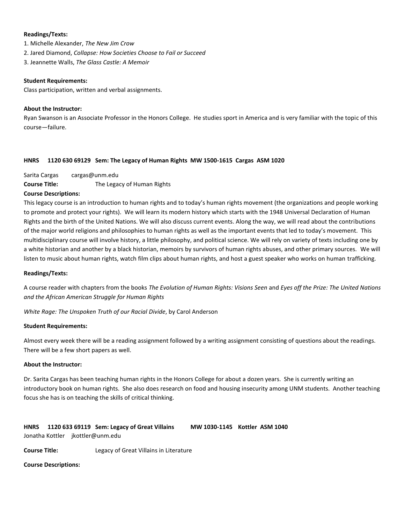#### **Readings/Texts:**

1. Michelle Alexander, *The New Jim Crow*

- 2. Jared Diamond, *Collapse: How Societies Choose to Fail or Succeed*
- 3. Jeannette Walls, *The Glass Castle: A Memoir*

#### **Student Requirements:**

Class participation, written and verbal assignments.

#### **About the Instructor:**

Ryan Swanson is an Associate Professor in the Honors College. He studies sport in America and is very familiar with the topic of this course—failure.

#### <span id="page-15-0"></span>**HNRS 1120 630 69129 Sem: The Legacy of Human Rights MW 1500-1615 Cargas ASM 1020**

Sarita Cargas cargas@unm.edu

**Course Title:** The Legacy of Human Rights

#### **Course Descriptions:**

This legacy course is an introduction to human rights and to today's human rights movement (the organizations and people working to promote and protect your rights). We will learn its modern history which starts with the 1948 Universal Declaration of Human Rights and the birth of the United Nations. We will also discuss current events. Along the way, we will read about the contributions of the major world religions and philosophies to human rights as well as the important events that led to today's movement. This multidisciplinary course will involve history, a little philosophy, and political science. We will rely on variety of texts including one by a white historian and another by a black historian, memoirs by survivors of human rights abuses, and other primary sources. We will listen to music about human rights, watch film clips about human rights, and host a guest speaker who works on human trafficking.

# **Readings/Texts:**

A course reader with chapters from the books *The Evolution of Human Rights: Visions Seen* and *Eyes off the Prize: The United Nations and the African American Struggle for Human Rights*

*White Rage: The Unspoken Truth of our Racial Divide*, by Carol Anderson

#### **Student Requirements:**

Almost every week there will be a reading assignment followed by a writing assignment consisting of questions about the readings. There will be a few short papers as well.

#### **About the Instructor:**

Dr. Sarita Cargas has been teaching human rights in the Honors College for about a dozen years. She is currently writing an introductory book on human rights. She also does research on food and housing insecurity among UNM students. Another teaching focus she has is on teaching the skills of critical thinking.

<span id="page-15-1"></span>

| <b>HNRS</b> |  | 1120 633 69119 Sem: Legacy of Great Villains | MW 1030-1145 Kottler ASM 1040 |  |
|-------------|--|----------------------------------------------|-------------------------------|--|
|             |  | Jonatha Kottler jkottler@unm.edu             |                               |  |

**Course Title:** Legacy of Great Villains in Literature

#### **Course Descriptions:**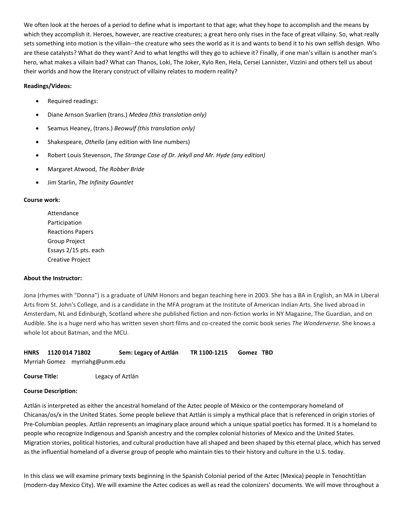We often look at the heroes of a period to define what is important to that age; what they hope to accomplish and the means by which they accomplish it. Heroes, however, are reactive creatures; a great hero only rises in the face of great villainy. So, what really sets something into motion is the villain--the creature who sees the world as it is and wants to bend it to his own selfish design. Who are these catalysts? What do they want? And to what lengths will they go to achieve it? Finally, if one man's villain is another man's hero, what makes a villain bad? What can Thanos, Loki, The Joker, Kylo Ren, Hela, Cersei Lannister, Vizzini and others tell us about their worlds and how the literary construct of villainy relates to modern reality?

# **Readings/Videos:**

- Required readings:
- Diane Arnson Svarlien (trans.) *Medea (this translation only)*
- Seamus Heaney, (trans.) *Beowulf (this translation only)*
- Shakespeare, *Othello* (any edition with line numbers)
- Robert Louis Stevenson, *The Strange Case of Dr. Jekyll and Mr. Hyde (any edition)*
- Margaret Atwood, *The Robber Bride*
- Jim Starlin, *The Infinity Gauntlet*

#### **Course work:**

Attendance Participation Reactions Papers Group Project Essays 2/15 pts. each Creative Project

#### **About the Instructor:**

Jona (rhymes with "Donna") is a graduate of UNM Honors and began teaching here in 2003. She has a BA in English, an MA in Liberal Arts from St. John's College, and is a candidate in the MFA program at the Institute of American Indian Arts. She lived abroad in Amsterdam, NL and Edinburgh, Scotland where she published fiction and non-fiction works in NY Magazine, The Guardian, and on Audible. She is a huge nerd who has written seven short films and co-created the comic book series *The Wonderverse.* She knows a whole lot about Batman, and the MCU.

<span id="page-16-0"></span>

| HNRS 1120 014 71802 | Sem: Legacy of Aztlán | TR 1100-1215    Gomez TBD |  |
|---------------------|-----------------------|---------------------------|--|
|                     |                       |                           |  |

Myrriah Gomez myrriahg@unm.edu

**Course Title:** Legacy of Aztlán

# **Course Description:**

Aztlán is interpreted as either the ancestral homeland of the Aztec people of México or the contemporary homeland of Chicanas/os/x in the United States. Some people believe that Aztlán is simply a mythical place that is referenced in origin stories of Pre-Columbian peoples. Aztlán represents an imaginary place around which a unique spatial poetics has formed. It is a homeland to people who recognize Indigenous and Spanish ancestry and the complex colonial histories of Mexico and the United States. Migration stories, political histories, and cultural production have all shaped and been shaped by this eternal place, which has served as the influential homeland of a diverse group of people who maintain ties to their history and culture in the U.S. today.

In this class we will examine primary texts beginning in the Spanish Colonial period of the Aztec (Mexica) people in Tenochtítlan (modern-day Mexico City). We will examine the Aztec codices as well as read the colonizers' documents. We will move throughout a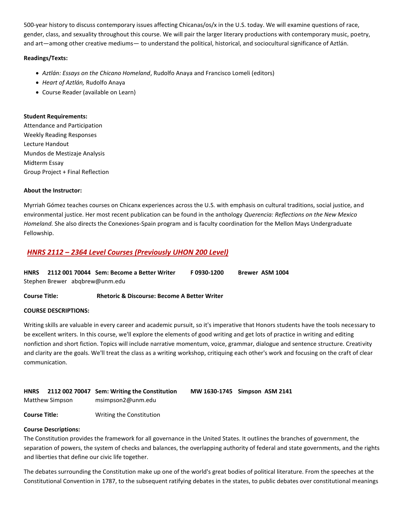500-year history to discuss contemporary issues affecting Chicanas/os/x in the U.S. today. We will examine questions of race, gender, class, and sexuality throughout this course. We will pair the larger literary productions with contemporary music, poetry, and art—among other creative mediums— to understand the political, historical, and sociocultural significance of Aztlán.

# **Readings/Texts:**

- *Aztlán: Essays on the Chicano Homeland*, Rudolfo Anaya and Francisco Lomeli (editors)
- *Heart of Aztlán,* Rudolfo Anaya
- Course Reader (available on Learn)

# **Student Requirements:**

Attendance and Participation Weekly Reading Responses Lecture Handout Mundos de Mestizaje Analysis Midterm Essay Group Project + Final Reflection

# **About the Instructor:**

Myrriah Gómez teaches courses on Chicanx experiences across the U.S. with emphasis on cultural traditions, social justice, and environmental justice. Her most recent publication can be found in the anthology *Querencia: Reflections on the New Mexico Homeland.* She also directs the Conexiones-Spain program and is faculty coordination for the Mellon Mays Undergraduate Fellowship.

# <span id="page-17-0"></span>*HNRS 2112 – 2364 Level Courses (Previously UHON 200 Level)*

<span id="page-17-1"></span>

|                                | HNRS 2112 001 70044 Sem: Become a Better Writer | F0930-1200 | <b>Brewer ASM 1004</b> |
|--------------------------------|-------------------------------------------------|------------|------------------------|
| Stephen Brewer abgbrew@unm.edu |                                                 |            |                        |

**Course Title: Rhetoric & Discourse: Become A Better Writer**

# **COURSE DESCRIPTIONS:**

Writing skills are valuable in every career and academic pursuit, so it's imperative that Honors students have the tools necessary to be excellent writers. In this course, we'll explore the elements of good writing and get lots of practice in writing and editing nonfiction and short fiction. Topics will include narrative momentum, voice, grammar, dialogue and sentence structure. Creativity and clarity are the goals. We'll treat the class as a writing workshop, critiquing each other's work and focusing on the craft of clear communication.

<span id="page-17-2"></span>

| <b>HNRS</b> |                 | 2112 002 70047 Sem: Writing the Constitution | MW 1630-1745 Simpson ASM 2141 |
|-------------|-----------------|----------------------------------------------|-------------------------------|
|             | Matthew Simpson | msimpson2@unm.edu                            |                               |

**Course Title:** Writing the Constitution

# **Course Descriptions:**

The Constitution provides the framework for all governance in the United States. It outlines the branches of government, the separation of powers, the system of checks and balances, the overlapping authority of federal and state governments, and the rights and liberties that define our civic life together.

The debates surrounding the Constitution make up one of the world's great bodies of political literature. From the speeches at the Constitutional Convention in 1787, to the subsequent ratifying debates in the states, to public debates over constitutional meanings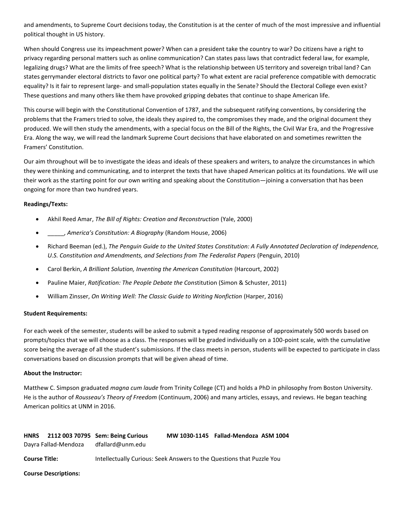and amendments, to Supreme Court decisions today, the Constitution is at the center of much of the most impressive and influential political thought in US history.

When should Congress use its impeachment power? When can a president take the country to war? Do citizens have a right to privacy regarding personal matters such as online communication? Can states pass laws that contradict federal law, for example, legalizing drugs? What are the limits of free speech? What is the relationship between US territory and sovereign tribal land? Can states gerrymander electoral districts to favor one political party? To what extent are racial preference compatible with democratic equality? Is it fair to represent large- and small-population states equally in the Senate? Should the Electoral College even exist? These questions and many others like them have provoked gripping debates that continue to shape American life.

This course will begin with the Constitutional Convention of 1787, and the subsequent ratifying conventions, by considering the problems that the Framers tried to solve, the ideals they aspired to, the compromises they made, and the original document they produced. We will then study the amendments, with a special focus on the Bill of the Rights, the Civil War Era, and the Progressive Era. Along the way, we will read the landmark Supreme Court decisions that have elaborated on and sometimes rewritten the Framers' Constitution.

Our aim throughout will be to investigate the ideas and ideals of these speakers and writers, to analyze the circumstances in which they were thinking and communicating, and to interpret the texts that have shaped American politics at its foundations. We will use their work as the starting point for our own writing and speaking about the Constitution—joining a conversation that has been ongoing for more than two hundred years.

# **Readings/Texts:**

- Akhil Reed Amar, *The Bill of Rights: Creation and Reconstruction* (Yale, 2000)
- \_\_\_\_\_, *America's Constitution: A Biography* (Random House, 2006)
- Richard Beeman (ed.), *The Penguin Guide to the United States Constitution: A Fully Annotated Declaration of Independence, U.S. Constitution and Amendments, and Selections from The Federalist Papers* (Penguin, 2010)
- Carol Berkin, *A Brilliant Solution, Inventing the American Constitution* (Harcourt, 2002)
- Pauline Maier, *Ratification: The People Debate the Con*stitution (Simon & Schuster, 2011)
- William Zinsser, *On Writing Well: The Classic Guide to Writing Nonfiction* (Harper, 2016)

# **Student Requirements:**

For each week of the semester, students will be asked to submit a typed reading response of approximately 500 words based on prompts/topics that we will choose as a class. The responses will be graded individually on a 100-point scale, with the cumulative score being the average of all the student's submissions. If the class meets in person, students will be expected to participate in class conversations based on discussion prompts that will be given ahead of time.

# **About the Instructor:**

Matthew C. Simpson graduated *magna cum laude* from Trinity College (CT) and holds a PhD in philosophy from Boston University. He is the author of *Rousseau's Theory of Freedom* (Continuum, 2006) and many articles, essays, and reviews. He began teaching American politics at UNM in 2016.

<span id="page-18-0"></span>

| <b>HNRS</b><br>Dayra Fallad-Mendoza | 2112 003 70795 Sem: Being Curious<br>dfallard@unm.edu                 | MW 1030-1145 Fallad-Mendoza ASM 1004 |  |
|-------------------------------------|-----------------------------------------------------------------------|--------------------------------------|--|
| <b>Course Title:</b>                | Intellectually Curious: Seek Answers to the Questions that Puzzle You |                                      |  |

# **Course Descriptions:**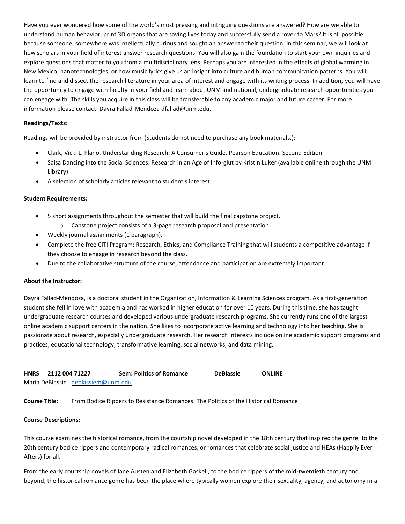Have you ever wondered how some of the world's most pressing and intriguing questions are answered? How are we able to understand human behavior, print 3D organs that are saving lives today and successfully send a rover to Mars? It is all possible because someone, somewhere was intellectually curious and sought an answer to their question. In this seminar, we will look at how scholars in your field of interest answer research questions. You will also gain the foundation to start your own inquiries and explore questions that matter to you from a multidisciplinary lens. Perhaps you are interested in the effects of global warming in New Mexico, nanotechnologies, or how music lyrics give us an insight into culture and human communication patterns. You will learn to find and dissect the research literature in your area of interest and engage with its writing process. In addition, you will have the opportunity to engage with faculty in your field and learn about UNM and national, undergraduate research opportunities you can engage with. The skills you acquire in this class will be transferable to any academic major and future career. For more information please contact: Dayra Fallad-Mendoza dfallad@unm.edu.

# **Readings/Texts:**

Readings will be provided by instructor from (Students do not need to purchase any book materials.):

- Clark, Vicki L. Plano. Understanding Research: A Consumer's Guide. Pearson Education. Second Edition
- Salsa Dancing into the Social Sciences: Research in an Age of Info-glut by Kristin Luker (available online through the UNM Library)
- A selection of scholarly articles relevant to student's interest.

#### **Student Requirements:**

- 5 short assignments throughout the semester that will build the final capstone project.
	- o Capstone project consists of a 3-page research proposal and presentation.
- Weekly journal assignments (1 paragraph).
- Complete the free CITI Program: Research, Ethics, and Compliance Training that will students a competitive advantage if they choose to engage in research beyond the class.
- Due to the collaborative structure of the course, attendance and participation are extremely important.

#### **About the Instructor:**

Dayra Fallad-Mendoza, is a doctoral student in the Organization, Information & Learning Sciences program. As a first-generation student she fell in love with academia and has worked in higher education for over 10 years. During this time, she has taught undergraduate research courses and developed various undergraduate research programs. She currently runs one of the largest online academic support centers in the nation. She likes to incorporate active learning and technology into her teaching. She is passionate about research, especially undergraduate research. Her research interests include online academic support programs and practices, educational technology, transformative learning, social networks, and data mining.

<span id="page-19-0"></span>

| <b>HNRS</b> | 2112 004 71227 |                                    | <b>Sem: Politics of Romance</b> | <b>DeBlassie</b> | <b>ONLINE</b> |
|-------------|----------------|------------------------------------|---------------------------------|------------------|---------------|
|             |                | Maria DeBlassie deblassiem@unm.edu |                                 |                  |               |

**Course Title:** From Bodice Rippers to Resistance Romances: The Politics of the Historical Romance

#### **Course Descriptions:**

This course examines the historical romance, from the courtship novel developed in the 18th century that inspired the genre, to the 20th century bodice rippers and contemporary radical romances, or romances that celebrate social justice and HEAs (Happily Ever Afters) for all.

From the early courtship novels of Jane Austen and Elizabeth Gaskell, to the bodice rippers of the mid-twentieth century and beyond, the historical romance genre has been the place where typically women explore their sexuality, agency, and autonomy in a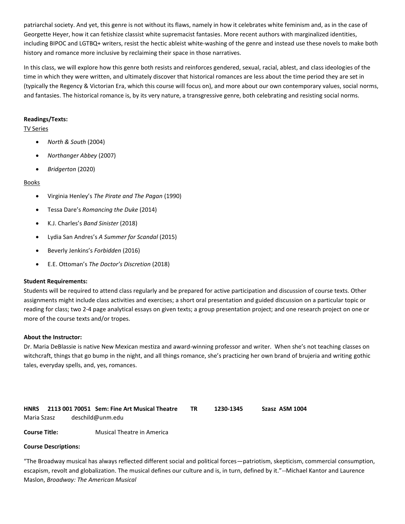patriarchal society. And yet, this genre is not without its flaws, namely in how it celebrates white feminism and, as in the case of Georgette Heyer, how it can fetishize classist white supremacist fantasies. More recent authors with marginalized identities, including BIPOC and LGTBQ+ writers, resist the hectic ableist white-washing of the genre and instead use these novels to make both history and romance more inclusive by reclaiming their space in those narratives.

In this class, we will explore how this genre both resists and reinforces gendered, sexual, racial, ablest, and class ideologies of the time in which they were written, and ultimately discover that historical romances are less about the time period they are set in (typically the Regency & Victorian Era, which this course will focus on), and more about our own contemporary values, social norms, and fantasies. The historical romance is, by its very nature, a transgressive genre, both celebrating and resisting social norms.

# **Readings/Texts:**

# TV Series

- *North & South* (2004)
- *Northanger Abbey* (2007)
- *Bridgerton* (2020)

# **Books**

- Virginia Henley's *The Pirate and The Pagan* (1990)
- Tessa Dare's *Romancing the Duke* (2014)
- K.J. Charles's *Band Sinister* (2018)
- Lydia San Andres's *A Summer for Scandal* (2015)
- Beverly Jenkins's *Forbidden* (2016)
- E.E. Ottoman's *The Doctor's Discretion* (2018)

# **Student Requirements:**

Students will be required to attend class regularly and be prepared for active participation and discussion of course texts. Other assignments might include class activities and exercises; a short oral presentation and guided discussion on a particular topic or reading for class; two 2-4 page analytical essays on given texts; a group presentation project; and one research project on one or more of the course texts and/or tropes.

# **About the Instructor:**

Dr. Maria DeBlassie is native New Mexican mestiza and award-winning professor and writer. When she's not teaching classes on witchcraft, things that go bump in the night, and all things romance, she's practicing her own brand of brujeria and writing gothic tales, everyday spells, and, yes, romances.

<span id="page-20-0"></span>

|             | HNRS 2113 001 70051 Sem: Fine Art Musical Theatre | 1230-1345 | Szasz ASM 1004 |
|-------------|---------------------------------------------------|-----------|----------------|
| Maria Szasz | deschild@unm.edu                                  |           |                |

**Course Title:** Musical Theatre in America

#### **Course Descriptions:**

"The Broadway musical has always reflected different social and political forces—patriotism, skepticism, commercial consumption, escapism, revolt and globalization. The musical defines our culture and is, in turn, defined by it."--Michael Kantor and Laurence Maslon, *Broadway: The American Musical*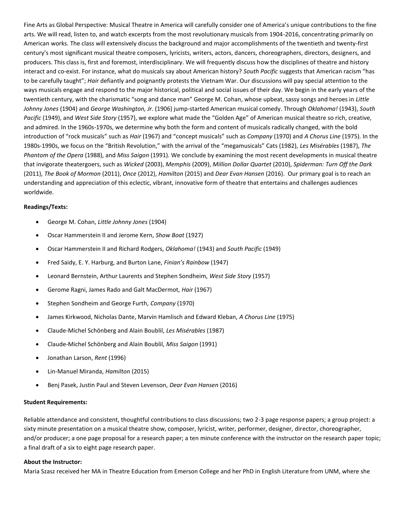Fine Arts as Global Perspective: Musical Theatre in America will carefully consider one of America's unique contributions to the fine arts. We will read, listen to, and watch excerpts from the most revolutionary musicals from 1904-2016, concentrating primarily on American works. The class will extensively discuss the background and major accomplishments of the twentieth and twenty-first century's most significant musical theatre composers, lyricists, writers, actors, dancers, choreographers, directors, designers, and producers. This class is, first and foremost, interdisciplinary. We will frequently discuss how the disciplines of theatre and history interact and co-exist. For instance, what do musicals say about American history? *South Pacific* suggests that American racism "has to be carefully taught"; *Hair* defiantly and poignantly protests the Vietnam War. Our discussions will pay special attention to the ways musicals engage and respond to the major historical, political and social issues of their day. We begin in the early years of the twentieth century, with the charismatic "song and dance man" George M. Cohan, whose upbeat, sassy songs and heroes in *Little Johnny Jones* (1904) and *George Washington, Jr*. (1906) jump-started American musical comedy. Through *Oklahoma!* (1943), *South Pacific* (1949), and *West Side Story* (1957), we explore what made the "Golden Age" of American musical theatre so rich, creative, and admired. In the 1960s-1970s, we determine why both the form and content of musicals radically changed, with the bold introduction of "rock musicals" such as *Hair* (1967) and "concept musicals" such as *Company* (1970) and *A Chorus Line* (1975). In the 1980s-1990s, we focus on the "British Revolution," with the arrival of the "megamusicals" Cats (1982), *Les Misérables* (1987), *The Phantom of the Opera* (1988), and *Miss Saigon* (1991). We conclude by examining the most recent developments in musical theatre that invigorate theatergoers, such as *Wicked* (2003), *Memphis* (2009), *Million Dollar Quartet* (2010), *Spiderman: Turn Off the Dark* (2011), *The Book of Mormon* (2011), *Once* (2012), *Hamilton* (2015) and *Dear Evan Hansen* (2016). Our primary goal is to reach an understanding and appreciation of this eclectic, vibrant, innovative form of theatre that entertains and challenges audiences worldwide.

# **Readings/Texts:**

- George M. Cohan, *Little Johnny Jones* (1904)
- Oscar Hammerstein II and Jerome Kern, *Show Boat* (1927)
- Oscar Hammerstein II and Richard Rodgers, *Oklahoma!* (1943) and *South Pacific* (1949)
- Fred Saidy, E. Y. Harburg, and Burton Lane, *Finian's Rainbow* (1947)
- Leonard Bernstein, Arthur Laurents and Stephen Sondheim, *West Side Story* (1957)
- Gerome Ragni, James Rado and Galt MacDermot, *Hair* (1967)
- Stephen Sondheim and George Furth, *Company* (1970)
- James Kirkwood, Nicholas Dante, Marvin Hamlisch and Edward Kleban, *A Chorus Line* (1975)
- Claude-Michel Schönberg and Alain Boublil, *Les Misérables* (1987)
- Claude-Michel Schönberg and Alain Boublil, *Miss Saigon* (1991)
- Jonathan Larson, *Rent* (1996)
- Lin-Manuel Miranda, *Hamilton* (2015)
- Benj Pasek, Justin Paul and Steven Levenson, *Dear Evan Hansen* (2016)

#### **Student Requirements:**

Reliable attendance and consistent, thoughtful contributions to class discussions; two 2-3 page response papers; a group project: a sixty minute presentation on a musical theatre show, composer, lyricist, writer, performer, designer, director, choreographer, and/or producer; a one page proposal for a research paper; a ten minute conference with the instructor on the research paper topic; a final draft of a six to eight page research paper.

#### **About the Instructor:**

Maria Szasz received her MA in Theatre Education from Emerson College and her PhD in English Literature from UNM, where she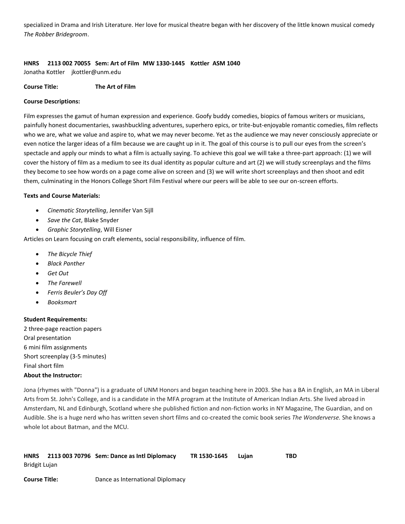specialized in Drama and Irish Literature. Her love for musical theatre began with her discovery of the little known musical comedy *The Robber Bridegroom*.

# <span id="page-22-0"></span>**HNRS 2113 002 70055 Sem: Art of Film MW 1330-1445 Kottler ASM 1040**

Jonatha Kottler jkottler@unm.edu

#### **Course Title: The Art of Film**

#### **Course Descriptions:**

Film expresses the gamut of human expression and experience. Goofy buddy comedies, biopics of famous writers or musicians, painfully honest documentaries, swashbuckling adventures, superhero epics, or trite-but-enjoyable romantic comedies, film reflects who we are, what we value and aspire to, what we may never become. Yet as the audience we may never consciously appreciate or even notice the larger ideas of a film because we are caught up in it. The goal of this course is to pull our eyes from the screen's spectacle and apply our minds to what a film is actually saying. To achieve this goal we will take a three-part approach: (1) we will cover the history of film as a medium to see its dual identity as popular culture and art (2) we will study screenplays and the films they become to see how words on a page come alive on screen and (3) we will write short screenplays and then shoot and edit them, culminating in the Honors College Short Film Festival where our peers will be able to see our on-screen efforts.

#### **Texts and Course Materials:**

- *Cinematic Storytelling*, Jennifer Van Sijll
- *Save the Cat*, Blake Snyder
- *Graphic Storytelling*, Will Eisner

Articles on Learn focusing on craft elements, social responsibility, influence of film.

- *The Bicycle Thief*
- *Black Panther*
- *Get Out*
- *The Farewell*
- *Ferris Beuler's Day Off*
- *Booksmart*

#### **Student Requirements:**

2 three-page reaction papers Oral presentation 6 mini film assignments Short screenplay (3-5 minutes) Final short film **About the Instructor:**

Jona (rhymes with "Donna") is a graduate of UNM Honors and began teaching here in 2003. She has a BA in English, an MA in Liberal Arts from St. John's College, and is a candidate in the MFA program at the Institute of American Indian Arts. She lived abroad in Amsterdam, NL and Edinburgh, Scotland where she published fiction and non-fiction works in NY Magazine, The Guardian, and on Audible. She is a huge nerd who has written seven short films and co-created the comic book series *The Wonderverse.* She knows a whole lot about Batman, and the MCU.

<span id="page-22-1"></span>

| <b>HNRS</b>          | 2113 003 70796 Sem: Dance as Intl Diplomacy | TR 1530-1645 | Luian | TBD |
|----------------------|---------------------------------------------|--------------|-------|-----|
| Bridgit Lujan        |                                             |              |       |     |
| <b>Course Title:</b> | Dance as International Diplomacy            |              |       |     |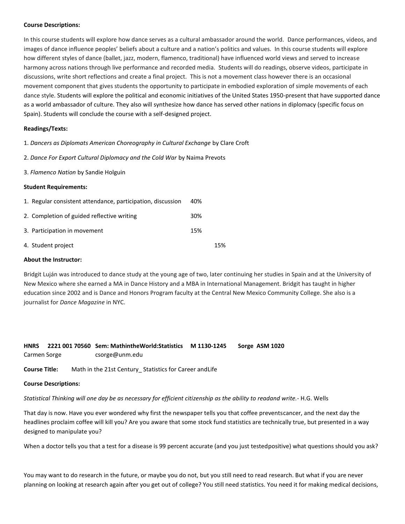#### **Course Descriptions:**

In this course students will explore how dance serves as a cultural ambassador around the world. Dance performances, videos, and images of dance influence peoples' beliefs about a culture and a nation's politics and values. In this course students will explore how different styles of dance (ballet, jazz, modern, flamenco, traditional) have influenced world views and served to increase harmony across nations through live performance and recorded media. Students will do readings, observe videos, participate in discussions, write short reflections and create a final project. This is not a movement class however there is an occasional movement component that gives students the opportunity to participate in embodied exploration of simple movements of each dance style. Students will explore the political and economic initiatives of the United States 1950-present that have supported dance as a world ambassador of culture. They also will synthesize how dance has served other nations in diplomacy (specific focus on Spain). Students will conclude the course with a self-designed project.

# **Readings/Texts:**

1. *Dancers as Diplomats American Choreography in Cultural Exchange* by Clare Croft

- 2. *Dance For Export Cultural Diplomacy and the Cold War* by Naima Prevots
- 3. *Flamenco Nation* by Sandie Holguin

#### **Student Requirements:**

| 1. Regular consistent attendance, participation, discussion | 40% |     |
|-------------------------------------------------------------|-----|-----|
| 2. Completion of guided reflective writing                  | 30% |     |
| 3. Participation in movement                                | 15% |     |
| 4. Student project                                          |     | 15% |

# **About the Instructor:**

Bridgit Luján was introduced to dance study at the young age of two, later continuing her studies in Spain and at the University of New Mexico where she earned a MA in Dance History and a MBA in International Management. Bridgit has taught in higher education since 2002 and is Dance and Honors Program faculty at the Central New Mexico Community College. She also is a journalist for *Dance Magazine* in NYC.

# <span id="page-23-0"></span>**HNRS 2221 001 70560 Sem: MathintheWorld:Statistics M 1130-1245 Sorge ASM 1020** Carmen Sorge csorge@unm.edu

**Course Title:** Math in the 21st Century\_ Statistics for Career andLife

# **Course Descriptions:**

*Statistical Thinking will one day be as necessary for efficient citizenship as the ability to readand write.*- H.G. Wells

That day is now. Have you ever wondered why first the newspaper tells you that coffee preventscancer, and the next day the headlines proclaim coffee will kill you? Are you aware that some stock fund statistics are technically true, but presented in a way designed to manipulate you?

When a doctor tells you that a test for a disease is 99 percent accurate (and you just testedpositive) what questions should you ask?

You may want to do research in the future, or maybe you do not, but you still need to read research. But what if you are never planning on looking at research again after you get out of college? You still need statistics. You need it for making medical decisions,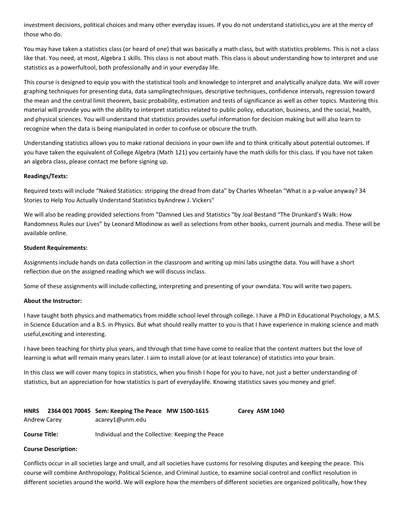investment decisions, political choices and many other everyday issues. If you do not understand statistics,you are at the mercy of those who do.

You may have taken a statistics class (or heard of one) that was basically a math class, but with statistics problems. This is not a class like that. You need, at most, Algebra 1 skills. This class is not about math. This class is about understanding how to interpret and use statistics as a powerfultool, both professionally and in your everyday life.

This course is designed to equip you with the statistical tools and knowledge to interpret and analytically analyze data. We will cover graphing techniques for presenting data, data samplingtechniques, descriptive techniques, confidence intervals, regression toward the mean and the central limit theorem, basic probability, estimation and tests of significance as well as other topics. Mastering this material will provide you with the ability to interpret statistics related to public policy, education, business, and the social, health, and physical sciences. You will understand that statistics provides useful information for decision making but will also learn to recognize when the data is being manipulated in order to confuse or obscure the truth.

Understanding statistics allows you to make rational decisions in your own life and to think critically about potential outcomes. If you have taken the equivalent of College Algebra (Math 121) you certainly have the math skills for this class. If you have not taken an algebra class, please contact me before signing up.

#### **Readings/Texts:**

Required texts will include "Naked Statistics: stripping the dread from data" by Charles Wheelan "What is a p-value anyway? 34 Stories to Help You Actually Understand Statistics byAndrew J. Vickers"

We will also be reading provided selections from "Damned Lies and Statistics "by Joal Bestand "The Drunkard's Walk: How Randomness Rules our Lives" by Leonard Mlodinow as well as selections from other books, current journals and media. These will be available online.

#### **Student Requirements:**

Assignments include hands on data collection in the classroom and writing up mini labs usingthe data. You will have a short reflection due on the assigned reading which we will discuss inclass.

Some of these assignments will include collecting, interpreting and presenting of your owndata. You will write two papers.

# **About the Instructor:**

I have taught both physics and mathematics from middle school level through college. I have a PhD in Educational Psychology, a M.S. in Science Education and a B.S. in Physics. But what should really matter to you is that I have experience in making science and math useful,exciting and interesting.

I have been teaching for thirty plus years, and through that time have come to realize that the content matters but the love of learning is what will remain many years later. I aim to install alove (or at least tolerance) of statistics into your brain.

In this class we will cover many topics in statistics, when you finish I hope for you to have, not just a better understanding of statistics, but an appreciation for how statistics is part of everydaylife. Knowing statistics saves you money and grief.

<span id="page-24-0"></span>

| <b>HNRS</b>  | 2364 001 70045 Sem: Keeping The Peace MW 1500-1615                                                                             | Carey ASM 1040 |
|--------------|--------------------------------------------------------------------------------------------------------------------------------|----------------|
| Andrew Carey | acarey1@unm.edu                                                                                                                |                |
|              | $\mathbf{r}$ , and $\mathbf{r}$ , and $\mathbf{r}$ , and $\mathbf{r}$ , and $\mathbf{r}$ , and $\mathbf{r}$ , and $\mathbf{r}$ |                |

# **Course Title:** Individual and the Collective: Keeping the Peace

#### **Course Description:**

Conflicts occur in all societies large and small, and all societies have customs for resolving disputes and keeping the peace. This course will combine Anthropology, Political Science, and Criminal Justice, to examine social control and conflict resolution in different societies around the world. We will explore how the members of different societies are organized politically, how they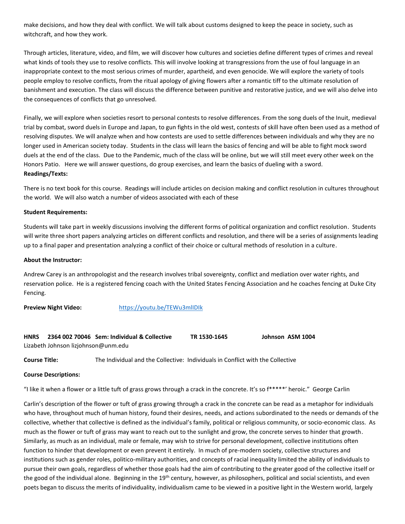make decisions, and how they deal with conflict. We will talk about customs designed to keep the peace in society, such as witchcraft, and how they work.

Through articles, literature, video, and film, we will discover how cultures and societies define different types of crimes and reveal what kinds of tools they use to resolve conflicts. This will involve looking at transgressions from the use of foul language in an inappropriate context to the most serious crimes of murder, apartheid, and even genocide. We will explore the variety of tools people employ to resolve conflicts, from the ritual apology of giving flowers after a romantic tiff to the ultimate resolution of banishment and execution. The class will discuss the difference between punitive and restorative justice, and we will also delve into the consequences of conflicts that go unresolved.

Finally, we will explore when societies resort to personal contests to resolve differences. From the song duels of the Inuit, medieval trial by combat, sword duels in Europe and Japan, to gun fights in the old west, contests of skill have often been used as a method of resolving disputes. We will analyze when and how contests are used to settle differences between individuals and why they are no longer used in American society today. Students in the class will learn the basics of fencing and will be able to fight mock sword duels at the end of the class. Due to the Pandemic, much of the class will be online, but we will still meet every other week on the Honors Patio. Here we will answer questions, do group exercises, and learn the basics of dueling with a sword. **Readings/Texts:** 

There is no text book for this course. Readings will include articles on decision making and conflict resolution in cultures throughout the world. We will also watch a number of videos associated with each of these

#### **Student Requirements:**

Students will take part in weekly discussions involving the different forms of political organization and conflict resolution. Students will write three short papers analyzing articles on different conflicts and resolution, and there will be a series of assignments leading up to a final paper and presentation analyzing a conflict of their choice or cultural methods of resolution in a culture.

#### **About the Instructor:**

Andrew Carey is an anthropologist and the research involves tribal sovereignty, conflict and mediation over water rights, and reservation police. He is a registered fencing coach with the United States Fencing Association and he coaches fencing at Duke City Fencing.

**Preview Night Video:** <https://youtu.be/TEWu3mlIDIk>

<span id="page-25-0"></span>**HNRS 2364 002 70046 Sem: Individual & Collective TR 1530-1645 Johnson ASM 1004** Lizabeth Johnson lizjohnson@unm.edu

**Course Title:** The Individual and the Collective: Individuals in Conflict with the Collective

#### **Course Descriptions:**

"I like it when a flower or a little tuft of grass grows through a crack in the concrete. It's so f\*\*\*\*\*' heroic." George Carlin

Carlin's description of the flower or tuft of grass growing through a crack in the concrete can be read as a metaphor for individuals who have, throughout much of human history, found their desires, needs, and actions subordinated to the needs or demands of the collective, whether that collective is defined as the individual's family, political or religious community, or socio-economic class. As much as the flower or tuft of grass may want to reach out to the sunlight and grow, the concrete serves to hinder that growth. Similarly, as much as an individual, male or female, may wish to strive for personal development, collective institutions often function to hinder that development or even prevent it entirely. In much of pre-modern society, collective structures and institutions such as gender roles, politico-military authorities, and concepts of racial inequality limited the ability of individuals to pursue their own goals, regardless of whether those goals had the aim of contributing to the greater good of the collective itself or the good of the individual alone. Beginning in the 19<sup>th</sup> century, however, as philosophers, political and social scientists, and even poets began to discuss the merits of individuality, individualism came to be viewed in a positive light in the Western world, largely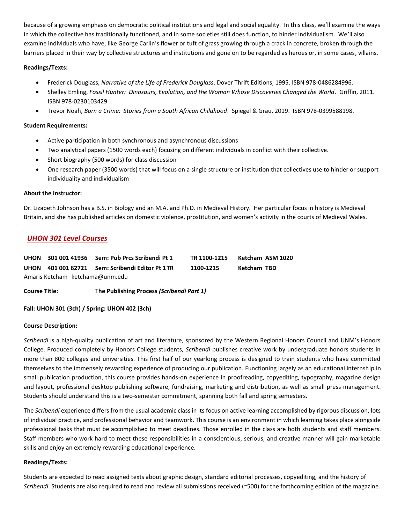because of a growing emphasis on democratic political institutions and legal and social equality. In this class, we'll examine the ways in which the collective has traditionally functioned, and in some societies still does function, to hinder individualism. We'll also examine individuals who have, like George Carlin's flower or tuft of grass growing through a crack in concrete, broken through the barriers placed in their way by collective structures and institutions and gone on to be regarded as heroes or, in some cases, villains.

# **Readings/Texts:**

- Frederick Douglass, *Narrative of the Life of Frederick Douglass*. Dover Thrift Editions, 1995. ISBN 978-0486284996.
- Shelley Emling, *Fossil Hunter: Dinosaurs, Evolution, and the Woman Whose Discoveries Changed the World*. Griffin, 2011. ISBN 978-0230103429
- Trevor Noah, *Born a Crime: Stories from a South African Childhood*. Spiegel & Grau, 2019. ISBN 978-0399588198.

# **Student Requirements:**

- Active participation in both synchronous and asynchronous discussions
- Two analytical papers (1500 words each) focusing on different individuals in conflict with their collective.
- Short biography (500 words) for class discussion
- One research paper (3500 words) that will focus on a single structure or institution that collectives use to hinder or support individuality and individualism

# **About the Instructor:**

Dr. Lizabeth Johnson has a B.S. in Biology and an M.A. and Ph.D. in Medieval History. Her particular focus in history is Medieval Britain, and she has published articles on domestic violence, prostitution, and women's activity in the courts of Medieval Wales.

# <span id="page-26-0"></span>*UHON 301 Level Courses*

<span id="page-26-2"></span><span id="page-26-1"></span>

|                                 | UHON 301 001 41936 Sem: Pub Prcs Scribendi Pt 1 | TR 1100-1215 | Ketcham ASM 1020 |
|---------------------------------|-------------------------------------------------|--------------|------------------|
|                                 | UHON 401 001 62721 Sem: Scribendi Editor Pt 1TR | 1100-1215    | Ketcham TBD      |
| Amaris Ketcham ketchama@unm.edu |                                                 |              |                  |

**Course Title:** T**he Publishing Process** *(Scribendi Part 1)*

**Fall: UHON 301 (3ch) / Spring: UHON 402 (3ch)**

# **Course Description:**

*Scribendi* is a high-quality publication of art and literature, sponsored by the Western Regional Honors Council and UNM's Honors College. Produced completely by Honors College students, *Scribendi* publishes creative work by undergraduate honors students in more than 800 colleges and universities. This first half of our yearlong process is designed to train students who have committed themselves to the immensely rewarding experience of producing our publication. Functioning largely as an educational internship in small publication production, this course provides hands-on experience in proofreading, copyediting, typography, magazine design and layout, professional desktop publishing software, fundraising, marketing and distribution, as well as small press management. Students should understand this is a two-semester commitment, spanning both fall and spring semesters.

The *Scribendi* experience differs from the usual academic class in its focus on active learning accomplished by rigorous discussion, lots of individual practice, and professional behavior and teamwork. This course is an environment in which learning takes place alongside professional tasks that must be accomplished to meet deadlines. Those enrolled in the class are both students and staff members. Staff members who work hard to meet these responsibilities in a conscientious, serious, and creative manner will gain marketable skills and enjoy an extremely rewarding educational experience.

# **Readings/Texts:**

Students are expected to read assigned texts about graphic design, standard editorial processes, copyediting, and the history of *Scribendi*. Students are also required to read and review all submissions received (~500) for the forthcoming edition of the magazine.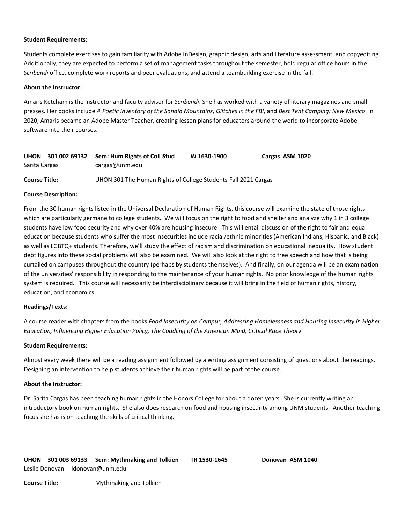#### **Student Requirements:**

Students complete exercises to gain familiarity with Adobe InDesign, graphic design, arts and literature assessment, and copyediting. Additionally, they are expected to perform a set of management tasks throughout the semester, hold regular office hours in the *Scribendi* office, complete work reports and peer evaluations, and attend a teambuilding exercise in the fall.

#### **About the Instructor:**

Amaris Ketcham is the instructor and faculty advisor for *Scribendi*. She has worked with a variety of literary magazines and small presses. Her books include A Poetic Inventory of the Sandia Mountains, Glitches in the FBI, and Best Tent Camping: New Mexico. In 2020, Amaris became an Adobe Master Teacher, creating lesson plans for educators around the world to incorporate Adobe software into their courses.

<span id="page-27-0"></span>

| <b>UHON</b>          | 301 002 69132 | Sem: Hum Rights of Coll Stud                                   | W 1630-1900 | Cargas ASM 1020 |
|----------------------|---------------|----------------------------------------------------------------|-------------|-----------------|
| Sarita Cargas        |               | cargas@unm.edu                                                 |             |                 |
| <b>Course Title:</b> |               | UHON 301 The Human Rights of College Students Fall 2021 Cargas |             |                 |

#### **Course Description:**

From the 30 human rights listed in the Universal Declaration of Human Rights, this course will examine the state of those rights which are particularly germane to college students. We will focus on the right to food and shelter and analyze why 1 in 3 college students have low food security and why over 40% are housing insecure. This will entail discussion of the right to fair and equal education because students who suffer the most insecurities include racial/ethnic minorities (American Indians, Hispanic, and Black) as well as LGBTQ+ students. Therefore, we'll study the effect of racism and discrimination on educational inequality. How student debt figures into these social problems will also be examined. We will also look at the right to free speech and how that is being curtailed on campuses throughout the country (perhaps by students themselves). And finally, on our agenda will be an examination of the universities' responsibility in responding to the maintenance of your human rights. No prior knowledge of the human rights system is required. This course will necessarily be interdisciplinary because it will bring in the field of human rights, history, education, and economics.

#### **Readings/Texts:**

A course reader with chapters from the books *Food Insecurity on Campus, Addressing Homelessness and Housing Insecurity in Higher Education, Influencing Higher Education Policy, The Coddling of the American Mind, Critical Race Theory*

#### **Student Requirements:**

Almost every week there will be a reading assignment followed by a writing assignment consisting of questions about the readings. Designing an intervention to help students achieve their human rights will be part of the course.

#### **About the Instructor:**

<span id="page-27-1"></span>Dr. Sarita Cargas has been teaching human rights in the Honors College for about a dozen years. She is currently writing an introductory book on human rights. She also does research on food and housing insecurity among UNM students. Another teaching focus she has is on teaching the skills of critical thinking.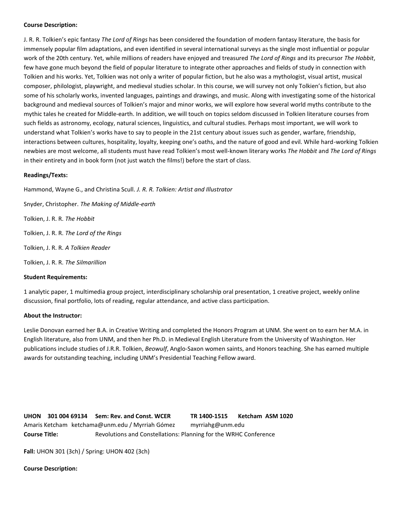#### **Course Description:**

J. R. R. Tolkien's epic fantasy *The Lord of Rings* has been considered the foundation of modern fantasy literature, the basis for immensely popular film adaptations, and even identified in several international surveys as the single most influential or popular work of the 20th century. Yet, while millions of readers have enjoyed and treasured *The Lord of Rings* and its precursor *The Hobbit*, few have gone much beyond the field of popular literature to integrate other approaches and fields of study in connection with Tolkien and his works. Yet, Tolkien was not only a writer of popular fiction, but he also was a mythologist, visual artist, musical composer, philologist, playwright, and medieval studies scholar. In this course, we will survey not only Tolkien's fiction, but also some of his scholarly works, invented languages, paintings and drawings, and music. Along with investigating some of the historical background and medieval sources of Tolkien's major and minor works, we will explore how several world myths contribute to the mythic tales he created for Middle-earth. In addition, we will touch on topics seldom discussed in Tolkien literature courses from such fields as astronomy, ecology, natural sciences, linguistics, and cultural studies. Perhaps most important, we will work to understand what Tolkien's works have to say to people in the 21st century about issues such as gender, warfare, friendship, interactions between cultures, hospitality, loyalty, keeping one's oaths, and the nature of good and evil. While hard-working Tolkien newbies are most welcome, all students must have read Tolkien's most well-known literary works *The Hobbit* and *The Lord of Rings* in their entirety and in book form (not just watch the films!) before the start of class.

# **Readings/Texts:**

Hammond, Wayne G., and Christina Scull. *J. R. R. Tolkien: Artist and Illustrator*

Snyder, Christopher. *The Making of Middle-earth* Tolkien, J. R. R. *The Hobbit* Tolkien, J. R. R. *The Lord of the Rings* Tolkien, J. R. R. *A Tolkien Reader* Tolkien, J. R. R. *The Silmarillion*

# **Student Requirements:**

1 analytic paper, 1 multimedia group project, interdisciplinary scholarship oral presentation, 1 creative project, weekly online discussion, final portfolio, lots of reading, regular attendance, and active class participation.

#### **About the Instructor:**

Leslie Donovan earned her B.A. in Creative Writing and completed the Honors Program at UNM. She went on to earn her M.A. in English literature, also from UNM, and then her Ph.D. in Medieval English Literature from the University of Washington. Her publications include studies of J.R.R. Tolkien, *Beowulf*, Anglo-Saxon women saints, and Honors teaching. She has earned multiple awards for outstanding teaching, including UNM's Presidential Teaching Fellow award.

<span id="page-28-0"></span>**UHON 301 004 69134 Sem: Rev. and Const. WCER TR 1400-1515 Ketcham ASM 1020** Amaris Ketcham ketchama@unm.edu / Myrriah Gómez myrriahg@unm.edu **Course Title:** Revolutions and Constellations: Planning for the WRHC Conference

**Fall:** UHON 301 (3ch) / Spring: UHON 402 (3ch)

#### **Course Description:**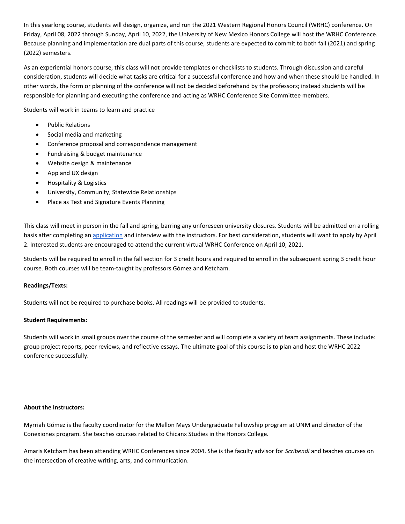In this yearlong course, students will design, organize, and run the 2021 Western Regional Honors Council (WRHC) conference. On Friday, April 08, 2022 through Sunday, April 10, 2022, the University of New Mexico Honors College will host the WRHC Conference. Because planning and implementation are dual parts of this course, students are expected to commit to both fall (2021) and spring (2022) semesters.

As an experiential honors course, this class will not provide templates or checklists to students. Through discussion and careful consideration, students will decide what tasks are critical for a successful conference and how and when these should be handled. In other words, the form or planning of the conference will not be decided beforehand by the professors; instead students will be responsible for planning and executing the conference and acting as WRHC Conference Site Committee members.

Students will work in teams to learn and practice

- Public Relations
- Social media and marketing
- Conference proposal and correspondence management
- Fundraising & budget maintenance
- Website design & maintenance
- App and UX design
- Hospitality & Logistics
- University, Community, Statewide Relationships
- Place as Text and Signature Events Planning

This class will meet in person in the fall and spring, barring any unforeseen university closures. Students will be admitted on a rolling basis after completing a[n application](https://docs.google.com/forms/d/e/1FAIpQLSev2RoIxVZgvbHJQTj_ndyrS5dO20oPIF8juyU-daeu6kFVZg/viewform?usp=sf_link) and interview with the instructors. For best consideration, students will want to apply by April 2. Interested students are encouraged to attend the current virtual WRHC Conference on April 10, 2021.

Students will be required to enroll in the fall section for 3 credit hours and required to enroll in the subsequent spring 3 credit hour course. Both courses will be team-taught by professors Gómez and Ketcham.

# **Readings/Texts:**

Students will not be required to purchase books. All readings will be provided to students.

#### **Student Requirements:**

Students will work in small groups over the course of the semester and will complete a variety of team assignments. These include: group project reports, peer reviews, and reflective essays. The ultimate goal of this course is to plan and host the WRHC 2022 conference successfully.

#### **About the Instructors:**

Myrriah Gómez is the faculty coordinator for the Mellon Mays Undergraduate Fellowship program at UNM and director of the Conexiones program. She teaches courses related to Chicanx Studies in the Honors College.

Amaris Ketcham has been attending WRHC Conferences since 2004. She is the faculty advisor for *Scribendi* and teaches courses on the intersection of creative writing, arts, and communication.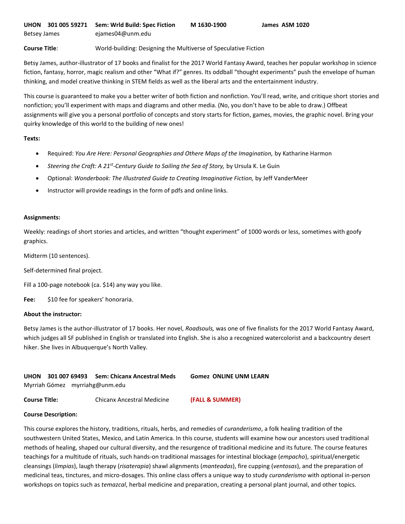<span id="page-30-0"></span>**Course Title**: World-building: Designing the Multiverse of Speculative Fiction

Betsy James, author-illustrator of 17 books and finalist for the 2017 World Fantasy Award, teaches her popular workshop in science fiction, fantasy, horror, magic realism and other "What if?" genres. Its oddball "thought experiments" push the envelope of human thinking, and model creative thinking in STEM fields as well as the liberal arts and the entertainment industry.

This course is guaranteed to make you a better writer of both fiction and nonfiction. You'll read, write, and critique short stories and nonfiction; you'll experiment with maps and diagrams and other media. (No, you don't have to be able to draw.) Offbeat assignments will give you a personal portfolio of concepts and story starts for fiction, games, movies, the graphic novel. Bring your quirky knowledge of this world to the building of new ones!

#### **Texts:**

- Required: *You Are Here: Personal Geographies and Othere Maps of the Imagination,* by Katharine Harmon
- Steering the Craft: A 21<sup>st</sup>-Century Guide to Sailing the Sea of Story, by Ursula K. Le Guin
- Optional: *Wonderbook: The Illustrated Guide to Creating Imaginative Fiction,* by Jeff VanderMeer
- Instructor will provide readings in the form of pdfs and online links.

#### **Assignments:**

Weekly: readings of short stories and articles, and written "thought experiment" of 1000 words or less, sometimes with goofy graphics.

Midterm (10 sentences).

Self-determined final project.

Fill a 100-page notebook (ca. \$14) any way you like.

**Fee:** \$10 fee for speakers' honoraria.

#### **About the instructor:**

Betsy James is the author-illustrator of 17 books. Her novel, *Roadsouls,* was one of five finalists for the 2017 World Fantasy Award, which judges all SF published in English or translated into English. She is also a recognized watercolorist and a backcountry desert hiker. She lives in Albuquerque's North Valley.

<span id="page-30-1"></span>**UHON 301 007 69493 Sem: Chicanx Ancestral Meds Gomez ONLINE UNM LEARN** Myrriah Gómez myrriahg@unm.edu

**Course Title:** Chicanx Ancestral Medicine **(FALL & SUMMER)**

#### **Course Description:**

This course explores the history, traditions, rituals, herbs, and remedies of *curanderismo*, a folk healing tradition of the southwestern United States, Mexico, and Latin America. In this course, students will examine how our ancestors used traditional methods of healing, shaped our cultural diversity, and the resurgence of traditional medicine and its future. The course features teachings for a multitude of rituals, such hands-on traditional massages for intestinal blockage (*empacho*), spiritual/energetic cleansings (*limpias*), laugh therapy (*risaterapia*) shawl alignments (*manteadas*), fire cupping (*ventosas*), and the preparation of medicinal teas, tinctures, and micro-dosages. This online class offers a unique way to study *curanderismo* with optional in-person workshops on topics such as *temazcal*, herbal medicine and preparation, creating a personal plant journal, and other topics.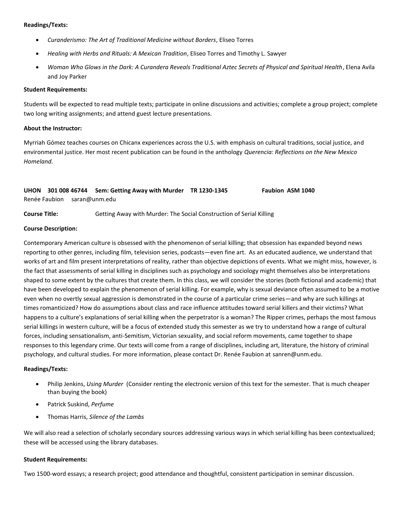#### **Readings/Texts:**

- *Curanderismo: The Art of Traditional Medicine without Borders*, Eliseo Torres
- *Healing with Herbs and Rituals: A Mexican Tradition*, Eliseo Torres and Timothy L. Sawyer
- *Woman Who Glows in the Dark: A Curandera Reveals Traditional Aztec Secrets of Physical and Spiritual Health*, Elena Avila and Joy Parker

#### **Student Requirements:**

Students will be expected to read multiple texts; participate in online discussions and activities; complete a group project; complete two long writing assignments; and attend guest lecture presentations.

#### **About the Instructor:**

Myrriah Gómez teaches courses on Chicanx experiences across the U.S. with emphasis on cultural traditions, social justice, and environmental justice. Her most recent publication can be found in the anthology *Querencia: Reflections on the New Mexico Homeland.*

# <span id="page-31-0"></span>**UHON 301 008 46744 Sem: Getting Away with Murder TR 1230-1345 Faubion ASM 1040** Renée Faubion saran@unm.edu

**Course Title:** Getting Away with Murder: The Social Construction of Serial Killing

#### **Course Description:**

Contemporary American culture is obsessed with the phenomenon of serial killing; that obsession has expanded beyond news reporting to other genres, including film, television series, podcasts—even fine art. As an educated audience, we understand that works of art and film present interpretations of reality, rather than objective depictions of events. What we might miss, however, is the fact that assessments of serial killing in disciplines such as psychology and sociology might themselves also be interpretations shaped to some extent by the cultures that create them. In this class, we will consider the stories (both fictional and academic) that have been developed to explain the phenomenon of serial killing. For example, why is sexual deviance often assumed to be a motive even when no overtly sexual aggression is demonstrated in the course of a particular crime series—and why are such killings at times romanticized? How do assumptions about class and race influence attitudes toward serial killers and their victims? What happens to a culture's explanations of serial killing when the perpetrator is a woman? The Ripper crimes, perhaps the most famous serial killings in western culture, will be a focus of extended study this semester as we try to understand how a range of cultural forces, including sensationalism, anti-Semitism, Victorian sexuality, and social reform movements, came together to shape responses to this legendary crime. Our texts will come from a range of disciplines, including art, literature, the history of criminal psychology, and cultural studies. For more information, please contact Dr. Renée Faubion at sanren@unm.edu.

# **Readings/Texts:**

- Philip Jenkins, *Using Murder* (Consider renting the electronic version of this text for the semester. That is much cheaper than buying the book)
- Patrick Suskind, *Perfume*
- Thomas Harris, *Silence of the Lambs*

We will also read a selection of scholarly secondary sources addressing various ways in which serial killing has been contextualized; these will be accessed using the library databases.

#### **Student Requirements:**

Two 1500-word essays; a research project; good attendance and thoughtful, consistent participation in seminar discussion.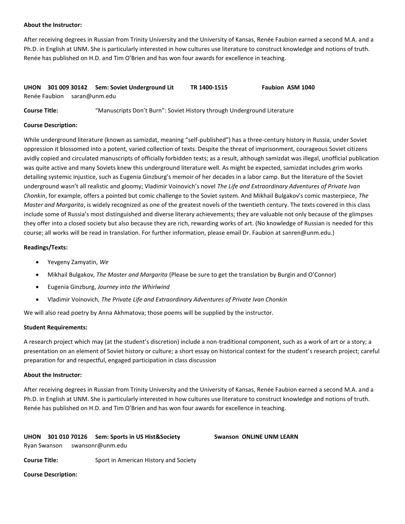#### **About the Instructor:**

After receiving degrees in Russian from Trinity University and the University of Kansas, Renée Faubion earned a second M.A. and a Ph.D. in English at UNM. She is particularly interested in how cultures use literature to construct knowledge and notions of truth. Renée has published on H.D. and Tim O'Brien and has won four awards for excellence in teaching.

<span id="page-32-0"></span>

|  | UHON 301 009 30142 Sem: Soviet Underground Lit | TR 1400-1515 | <b>Faubion ASM 1040</b> |
|--|------------------------------------------------|--------------|-------------------------|
|  | Renée Faubion saran@unm.edu                    |              |                         |

**Course Title:** "Manuscripts Don't Burn": Soviet History through Underground Literature

#### **Course Description:**

While underground literature (known as samizdat, meaning "self-published") has a three-century history in Russia, under Soviet oppression it blossomed into a potent, varied collection of texts. Despite the threat of imprisonment, courageous Soviet citizens avidly copied and circulated manuscripts of officially forbidden texts; as a result, although samizdat was illegal, unofficial publication was quite active and many Soviets knew this underground literature well. As might be expected, samizdat includes grim works detailing systemic injustice, such as Eugenia Ginzburg's memoir of her decades in a labor camp. But the literature of the Soviet underground wasn't all realistic and gloomy; Vladimir Voinovich's novel *The Life and Extraordinary Adventures of Private Ivan Chonkin*, for example, offers a pointed but comic challenge to the Soviet system. And Mikhail Bulgakov's comic masterpiece, *The Master and Margarita*, is widely recognized as one of the greatest novels of the twentieth century. The texts covered in this class include some of Russia's most distinguished and diverse literary achievements; they are valuable not only because of the glimpses they offer into a closed society but also because they are rich, rewarding works of art. (No knowledge of Russian is needed for this course; all works will be read in translation. For further information, please email Dr. Faubion at sanren@unm.edu.)

#### **Readings/Texts:**

- Yevgeny Zamyatin, *We*
- Mikhail Bulgakov, *The Master and Margarita* (Please be sure to get the translation by Burgin and O'Connor)
- Eugenia Ginzburg, *Journey into the Whirlwind*
- Vladimir Voinovich, *The Private Life and Extraordinary Adventures of Private Ivan Chonkin*

We will also read poetry by Anna Akhmatova; those poems will be supplied by the instructor.

#### **Student Requirements:**

A research project which may (at the student's discretion) include a non-traditional component, such as a work of art or a story; a presentation on an element of Soviet history or culture; a short essay on historical context for the student's research project; careful preparation for and respectful, engaged participation in class discussion

#### **About the Instructor:**

After receiving degrees in Russian from Trinity University and the University of Kansas, Renée Faubion earned a second M.A. and a Ph.D. in English at UNM. She is particularly interested in how cultures use literature to construct knowledge and notions of truth. Renée has published on H.D. and Tim O'Brien and has won four awards for excellence in teaching.

# <span id="page-32-1"></span>**UHON 301 010 70126 Sem: Sports in US Hist&Society Swanson ONLINE UNM LEARN** Ryan Swanson swansonr@unm.edu

**Course Title:** Sport in American History and Society

**Course Description:**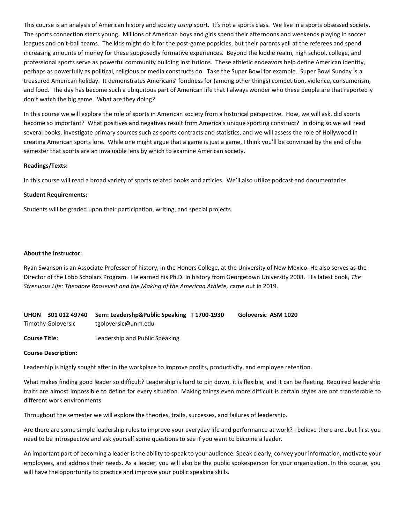This course is an analysis of American history and society *using* sport. It's not a sports class. We live in a sports obsessed society. The sports connection starts young. Millions of American boys and girls spend their afternoons and weekends playing in soccer leagues and on t-ball teams. The kids might do it for the post-game popsicles, but their parents yell at the referees and spend increasing amounts of money for these supposedly formative experiences. Beyond the kiddie realm, high school, college, and professional sports serve as powerful community building institutions. These athletic endeavors help define American identity, perhaps as powerfully as political, religious or media constructs do. Take the Super Bowl for example. Super Bowl Sunday is a treasured American holiday. It demonstrates Americans' fondness for (among other things) competition, violence, consumerism, and food. The day has become such a ubiquitous part of American life that I always wonder who these people are that reportedly don't watch the big game. What are they doing?

In this course we will explore the role of sports in American society from a historical perspective. How, we will ask, did sports become so important? What positives and negatives result from America's unique sporting construct? In doing so we will read several books, investigate primary sources such as sports contracts and statistics, and we will assess the role of Hollywood in creating American sports lore. While one might argue that a game is just a game, I think you'll be convinced by the end of the semester that sports are an invaluable lens by which to examine American society.

#### **Readings/Texts:**

In this course will read a broad variety of sports related books and articles. We'll also utilize podcast and documentaries.

#### **Student Requirements:**

Students will be graded upon their participation, writing, and special projects.

#### **About the Instructor:**

Ryan Swanson is an Associate Professor of history, in the Honors College, at the University of New Mexico. He also serves as the Director of the Lobo Scholars Program. He earned his Ph.D. in history from Georgetown University 2008. His latest book, *The Strenuous Life: Theodore Roosevelt and the Making of the American Athlete,* came out in 2019.

<span id="page-33-0"></span>

|                    | UHON 301 012 49740 Sem: Leadershp&Public Speaking T1700-1930 | Goloversic ASM 1020 |
|--------------------|--------------------------------------------------------------|---------------------|
| Timothy Goloversic | tgoloversic@unm.edu                                          |                     |

**Course Title:** Leadership and Public Speaking

#### **Course Description:**

Leadership is highly sought after in the workplace to improve profits, productivity, and employee retention.

What makes finding good leader so difficult? Leadership is hard to pin down, it is flexible, and it can be fleeting. Required leadership traits are almost impossible to define for every situation. Making things even more difficult is certain styles are not transferable to different work environments.

Throughout the semester we will explore the theories, traits, successes, and failures of leadership.

Are there are some simple leadership rules to improve your everyday life and performance at work? I believe there are…but first you need to be introspective and ask yourself some questions to see if you want to become a leader.

An important part of becoming a leader is the ability to speak to your audience. Speak clearly, convey your information, motivate your employees, and address their needs. As a leader, you will also be the public spokesperson for your organization. In this course, you will have the opportunity to practice and improve your public speaking skills.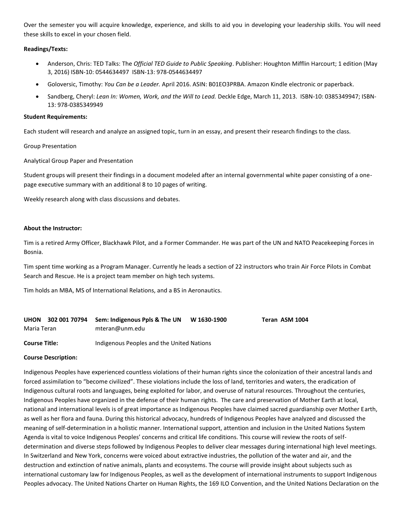Over the semester you will acquire knowledge, experience, and skills to aid you in developing your leadership skills. You will need these skills to excel in your chosen field.

#### **Readings/Texts:**

- Anderson, Chris: TED Talks: The *Official TED Guide to Public Speaking*. Publisher: Houghton Mifflin Harcourt; 1 edition (May 3, 2016) ISBN-10: 0544634497 ISBN-13: 978-0544634497
- Goloversic, Timothy: *You Can be a Leader.* April 2016. ASIN: B01EO3PRBA. Amazon Kindle electronic or paperback.
- Sandberg, Cheryl: *Lean In: Women, Work, and the Will to Lead.* Deckle Edge, March 11, 2013. ISBN-10: 0385349947; ISBN-13: 978-0385349949

#### **Student Requirements:**

Each student will research and analyze an assigned topic, turn in an essay, and present their research findings to the class.

Group Presentation

Analytical Group Paper and Presentation

Student groups will present their findings in a document modeled after an internal governmental white paper consisting of a onepage executive summary with an additional 8 to 10 pages of writing.

Weekly research along with class discussions and debates.

#### **About the Instructor:**

Tim is a retired Army Officer, Blackhawk Pilot, and a Former Commander. He was part of the UN and NATO Peacekeeping Forces in Bosnia.

Tim spent time working as a Program Manager. Currently he leads a section of 22 instructors who train Air Force Pilots in Combat Search and Rescue. He is a project team member on high tech systems.

Tim holds an MBA, MS of International Relations, and a BS in Aeronautics.

<span id="page-34-0"></span>

|             |  | UHON 302 001 70794 Sem: Indigenous Ppls & The UN | W 1630-1900 | Teran ASM 1004 |
|-------------|--|--------------------------------------------------|-------------|----------------|
| Maria Teran |  | mteran@unm.edu                                   |             |                |
|             |  |                                                  |             |                |

#### **Course Title:** Indigenous Peoples and the United Nations

#### **Course Description:**

Indigenous Peoples have experienced countless violations of their human rights since the colonization of their ancestral lands and forced assimilation to "become civilized". These violations include the loss of land, territories and waters, the eradication of Indigenous cultural roots and languages, being exploited for labor, and overuse of natural resources. Throughout the centuries, Indigenous Peoples have organized in the defense of their human rights. The care and preservation of Mother Earth at local, national and international levels is of great importance as Indigenous Peoples have claimed sacred guardianship over Mother Earth, as well as her flora and fauna. During this historical advocacy, hundreds of Indigenous Peoples have analyzed and discussed the meaning of self-determination in a holistic manner. International support, attention and inclusion in the United Nations System Agenda is vital to voice Indigenous Peoples' concerns and critical life conditions. This course will review the roots of selfdetermination and diverse steps followed by Indigenous Peoples to deliver clear messages during international high level meetings. In Switzerland and New York, concerns were voiced about extractive industries, the pollution of the water and air, and the destruction and extinction of native animals, plants and ecosystems. The course will provide insight about subjects such as international customary law for Indigenous Peoples, as well as the development of international instruments to support Indigenous Peoples advocacy. The United Nations Charter on Human Rights, the 169 ILO Convention, and the United Nations Declaration on the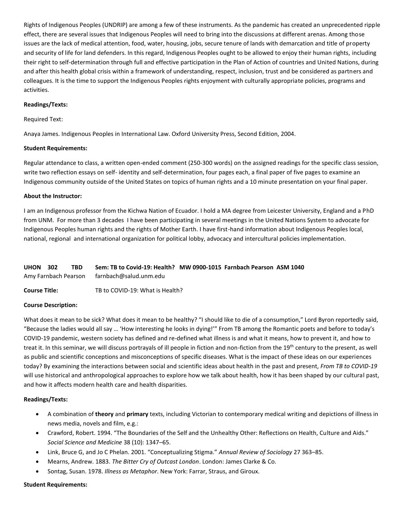Rights of Indigenous Peoples (UNDRIP) are among a few of these instruments. As the pandemic has created an unprecedented ripple effect, there are several issues that Indigenous Peoples will need to bring into the discussions at different arenas. Among those issues are the lack of medical attention, food, water, housing, jobs, secure tenure of lands with demarcation and title of property and security of life for land defenders. In this regard, Indigenous Peoples ought to be allowed to enjoy their human rights, including their right to self-determination through full and effective participation in the Plan of Action of countries and United Nations, during and after this health global crisis within a framework of understanding, respect, inclusion, trust and be considered as partners and colleagues. It is the time to support the Indigenous Peoples rights enjoyment with culturally appropriate policies, programs and activities.

#### **Readings/Texts:**

#### Required Text:

Anaya James. Indigenous Peoples in International Law. Oxford University Press, Second Edition, 2004.

#### **Student Requirements:**

Regular attendance to class, a written open-ended comment (250-300 words) on the assigned readings for the specific class session, write two reflection essays on self- identity and self-determination, four pages each, a final paper of five pages to examine an Indigenous community outside of the United States on topics of human rights and a 10 minute presentation on your final paper.

#### **About the Instructor:**

I am an Indigenous professor from the Kichwa Nation of Ecuador. I hold a MA degree from Leicester University, England and a PhD from UNM. For more than 3 decades I have been participating in several meetings in the United Nations System to advocate for Indigenous Peoples human rights and the rights of Mother Earth. I have first-hand information about Indigenous Peoples local, national, regional and international organization for political lobby, advocacy and intercultural policies implementation.

<span id="page-35-0"></span>

| <b>UHON 302</b> | <b>TBD</b> | Sem: TB to Covid-19: Health? MW 0900-1015 Farnbach Pearson ASM 1040 |  |  |
|-----------------|------------|---------------------------------------------------------------------|--|--|
|                 |            | Amy Farnbach Pearson farnbach@salud.unm.edu                         |  |  |

**Course Title:** TB to COVID-19: What is Health?

#### **Course Description:**

What does it mean to be sick? What does it mean to be healthy? "I should like to die of a consumption," Lord Byron reportedly said, "Because the ladies would all say … 'How interesting he looks in dying!'" From TB among the Romantic poets and before to today's COVID-19 pandemic, western society has defined and re-defined what illness is and what it means, how to prevent it, and how to treat it. In this seminar, we will discuss portrayals of ill people in fiction and non-fiction from the 19<sup>th</sup> century to the present, as well as public and scientific conceptions and misconceptions of specific diseases. What is the impact of these ideas on our experiences today? By examining the interactions between social and scientific ideas about health in the past and present, *From TB to COVID-19* will use historical and anthropological approaches to explore how we talk about health, how it has been shaped by our cultural past, and how it affects modern health care and health disparities.

#### **Readings/Texts:**

- A combination of **theory** and **primary** texts, including Victorian to contemporary medical writing and depictions of illness in news media, novels and film, e.g.:
- Crawford, Robert. 1994. "The Boundaries of the Self and the Unhealthy Other: Reflections on Health, Culture and Aids." *Social Science and Medicine* 38 (10): 1347–65.
- Link, Bruce G, and Jo C Phelan. 2001. "Conceptualizing Stigma." *Annual Review of Sociology* 27 363–85.
- Mearns, Andrew. 1883. *The Bitter Cry of Outcast London*. London: James Clarke & Co.
- Sontag, Susan. 1978. *Illness as Metaphor*. New York: Farrar, Straus, and Giroux.

#### **Student Requirements:**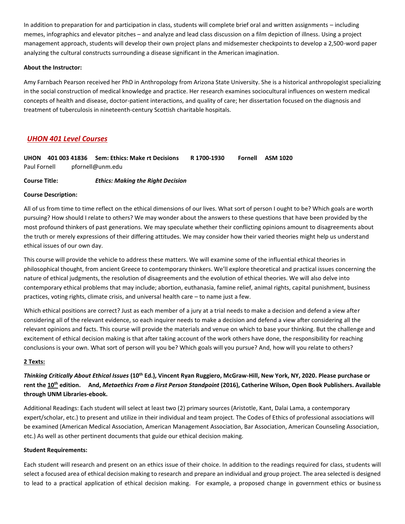In addition to preparation for and participation in class, students will complete brief oral and written assignments – including memes, infographics and elevator pitches – and analyze and lead class discussion on a film depiction of illness. Using a project management approach, students will develop their own project plans and midsemester checkpoints to develop a 2,500-word paper analyzing the cultural constructs surrounding a disease significant in the American imagination.

# **About the Instructor:**

Amy Farnbach Pearson received her PhD in Anthropology from Arizona State University. She is a historical anthropologist specializing in the social construction of medical knowledge and practice. Her research examines sociocultural influences on western medical concepts of health and disease, doctor-patient interactions, and quality of care; her dissertation focused on the diagnosis and treatment of tuberculosis in nineteenth-century Scottish charitable hospitals.

# <span id="page-36-0"></span>*UHON 401 Level Courses*

<span id="page-36-1"></span>**UHON 401 003 41836 Sem: Ethics: Make rt Decisions R 1700-1930 Fornell ASM 1020** Paul Fornell pfornell@unm.edu

**Course Title:** *Ethics: Making the Right Decision* 

# **Course Description:**

All of us from time to time reflect on the ethical dimensions of our lives. What sort of person I ought to be? Which goals are worth pursuing? How should I relate to others? We may wonder about the answers to these questions that have been provided by the most profound thinkers of past generations. We may speculate whether their conflicting opinions amount to disagreements about the truth or merely expressions of their differing attitudes. We may consider how their varied theories might help us understand ethical issues of our own day.

This course will provide the vehicle to address these matters. We will examine some of the influential ethical theories in philosophical thought, from ancient Greece to contemporary thinkers. We'll explore theoretical and practical issues concerning the nature of ethical judgments, the resolution of disagreements and the evolution of ethical theories. We will also delve into contemporary ethical problems that may include; abortion, euthanasia, famine relief, animal rights, capital punishment, business practices, voting rights, climate crisis, and universal health care – to name just a few.

Which ethical positions are correct? Just as each member of a jury at a trial needs to make a decision and defend a view after considering all of the relevant evidence, so each inquirer needs to make a decision and defend a view after considering all the relevant opinions and facts. This course will provide the materials and venue on which to base your thinking. But the challenge and excitement of ethical decision making is that after taking account of the work others have done, the responsibility for reaching conclusions is your own. What sort of person will you be? Which goals will you pursue? And, how will you relate to others?

# **2 Texts:**

*Thinking Critically About Ethical Issues* **(10th Ed.), Vincent Ryan Ruggiero, McGraw-Hill, New York, NY, 2020. Please purchase or rent the 10th edition. And,** *Metaethics From a First Person Standpoint* **(2016), Catherine Wilson, Open Book Publishers. Available through UNM Libraries-ebook.**

Additional Readings: Each student will select at least two (2) primary sources (Aristotle, Kant, Dalai Lama, a contemporary expert/scholar, etc.) to present and utilize in their individual and team project. The Codes of Ethics of professional associations will be examined (American Medical Association, American Management Association, Bar Association, American Counseling Association, etc.) As well as other pertinent documents that guide our ethical decision making.

#### **Student Requirements:**

Each student will research and present on an ethics issue of their choice. In addition to the readings required for class, students will select a focused area of ethical decision making to research and prepare an individual and group project. The area selected is designed to lead to a practical application of ethical decision making. For example, a proposed change in government ethics or business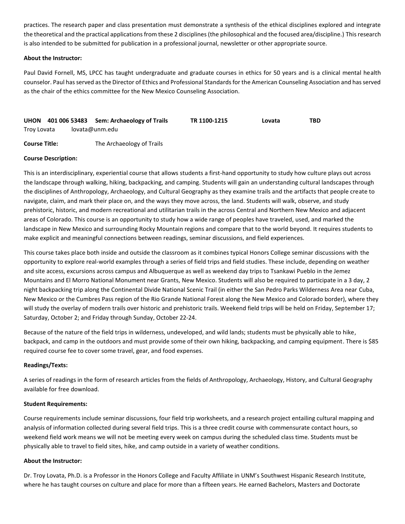practices. The research paper and class presentation must demonstrate a synthesis of the ethical disciplines explored and integrate the theoretical and the practical applications from these 2 disciplines (the philosophical and the focused area/discipline.) This research is also intended to be submitted for publication in a professional journal, newsletter or other appropriate source.

# **About the Instructor:**

Paul David Fornell, MS, LPCC has taught undergraduate and graduate courses in ethics for 50 years and is a clinical mental health counselor. Paul has served as the Director of Ethics and Professional Standards for the American Counseling Association and has served as the chair of the ethics committee for the New Mexico Counseling Association.

<span id="page-37-0"></span>

|             |  |                | UHON 401 006 53483 Sem: Archaeology of Trails | TR 1100-1215 | Lovata | TBD |
|-------------|--|----------------|-----------------------------------------------|--------------|--------|-----|
| Troy Lovata |  | lovata@unm.edu |                                               |              |        |     |
|             |  |                |                                               |              |        |     |

**Course Title:** The Archaeology of Trails

#### **Course Description:**

This is an interdisciplinary, experiential course that allows students a first-hand opportunity to study how culture plays out across the landscape through walking, hiking, backpacking, and camping. Students will gain an understanding cultural landscapes through the disciplines of Anthropology, Archaeology, and Cultural Geography as they examine trails and the artifacts that people create to navigate, claim, and mark their place on, and the ways they move across, the land. Students will walk, observe, and study prehistoric, historic, and modern recreational and utilitarian trails in the across Central and Northern New Mexico and adjacent areas of Colorado. This course is an opportunity to study how a wide range of peoples have traveled, used, and marked the landscape in New Mexico and surrounding Rocky Mountain regions and compare that to the world beyond. It requires students to make explicit and meaningful connections between readings, seminar discussions, and field experiences.

This course takes place both inside and outside the classroom as it combines typical Honors College seminar discussions with the opportunity to explore real-world examples through a series of field trips and field studies. These include, depending on weather and site access, excursions across campus and Albuquerque as well as weekend day trips to Tsankawi Pueblo in the Jemez Mountains and El Morro National Monument near Grants, New Mexico. Students will also be required to participate in a 3 day, 2 night backpacking trip along the Continental Divide National Scenic Trail (in either the San Pedro Parks Wilderness Area near Cuba, New Mexico or the Cumbres Pass region of the Rio Grande National Forest along the New Mexico and Colorado border), where they will study the overlay of modern trails over historic and prehistoric trails. Weekend field trips will be held on Friday, September 17; Saturday, October 2; and Friday through Sunday, October 22-24.

Because of the nature of the field trips in wilderness, undeveloped, and wild lands; students must be physically able to hike, backpack, and camp in the outdoors and must provide some of their own hiking, backpacking, and camping equipment. There is \$85 required course fee to cover some travel, gear, and food expenses.

#### **Readings/Texts:**

A series of readings in the form of research articles from the fields of Anthropology, Archaeology, History, and Cultural Geography available for free download.

#### **Student Requirements:**

Course requirements include seminar discussions, four field trip worksheets, and a research project entailing cultural mapping and analysis of information collected during several field trips. This is a three credit course with commensurate contact hours, so weekend field work means we will not be meeting every week on campus during the scheduled class time. Students must be physically able to travel to field sites, hike, and camp outside in a variety of weather conditions.

#### **About the Instructor:**

Dr. Troy Lovata, Ph.D. is a Professor in the Honors College and Faculty Affiliate in UNM's Southwest Hispanic Research Institute, where he has taught courses on culture and place for more than a fifteen years. He earned Bachelors, Masters and Doctorate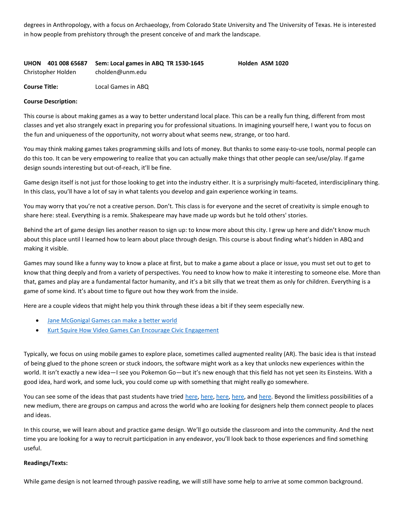degrees in Anthropology, with a focus on Archaeology, from Colorado State University and The University of Texas. He is interested in how people from prehistory through the present conceive of and mark the landscape.

# <span id="page-38-0"></span>**UHON 401 008 65687 Sem: Local games in ABQ TR 1530-1645 Holden ASM 1020** Christopher Holden cholden@unm.edu

**Course Title:** Local Games in ABQ

# **Course Description:**

This course is about making games as a way to better understand local place. This can be a really fun thing, different from most classes and yet also strangely exact in preparing you for professional situations. In imagining yourself here, I want you to focus on the fun and uniqueness of the opportunity, not worry about what seems new, strange, or too hard.

You may think making games takes programming skills and lots of money. But thanks to some easy-to-use tools, normal people can do this too. It can be very empowering to realize that you can actually make things that other people can see/use/play. If game design sounds interesting but out-of-reach, it'll be fine.

Game design itself is not just for those looking to get into the industry either. It is a surprisingly multi-faceted, interdisciplinary thing. In this class, you'll have a lot of say in what talents you develop and gain experience working in teams.

You may worry that you're not a creative person. Don't. This class is for everyone and the secret of creativity is simple enough to share here: steal. Everything is a remix. Shakespeare may have made up words but he told others' stories.

Behind the art of game design lies another reason to sign up: to know more about this city. I grew up here and didn't know much about this place until I learned how to learn about place through design. This course is about finding what's hidden in ABQ and making it visible.

Games may sound like a funny way to know a place at first, but to make a game about a place or issue, you must set out to get to know that thing deeply and from a variety of perspectives. You need to know how to make it interesting to someone else. More than that, games and play are a fundamental factor humanity, and it's a bit silly that we treat them as only for children. Everything is a game of some kind. It's about time to figure out how they work from the inside.

Here are a couple videos that might help you think through these ideas a bit if they seem especially new.

- [Jane McGonigal Games can make a better world](http://www.youtube.com/watch?v=dE1DuBesGYM)
- [Kurt Squire How Video Games Can Encourage Civic Engagement](http://www.youtube.com/watch?v=JcGdh9AbIS8)

Typically, we focus on using mobile games to explore place, sometimes called augmented reality (AR). The basic idea is that instead of being glued to the phone screen or stuck indoors, the software might work as a key that unlocks new experiences within the world. It isn't exactly a new idea—I see you Pokemon Go—but it's new enough that this field has not yet seen its Einsteins. With a good idea, hard work, and some luck, you could come up with something that might really go somewhere.

You can see some of the ideas that past students have tried [here,](http://localgameslab.org/localgamesinabq2015/) here, here, here, and [here.](http://localgameslab.org/localgamesinabq2017/) Beyond the limitless possibilities of a new medium, there are groups on campus and across the world who are looking for designers help them connect people to places and ideas.

In this course, we will learn about and practice game design. We'll go outside the classroom and into the community. And the next time you are looking for a way to recruit participation in any endeavor, you'll look back to those experiences and find something useful.

#### **Readings/Texts:**

While game design is not learned through passive reading, we will still have some help to arrive at some common background.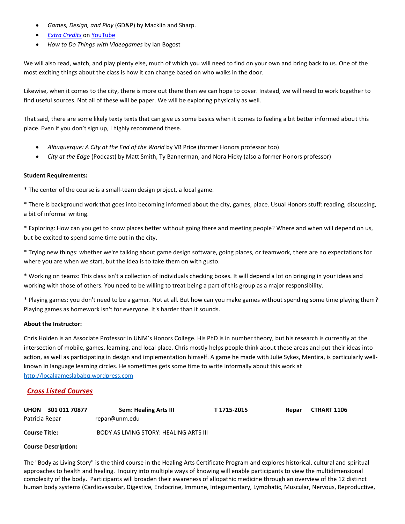- *Games, Design, and Play* (GD&P) by Macklin and Sharp.
- *[Extra Credits](https://en.wikipedia.org/wiki/List_of_Extra_Credits_episodes)* on [YouTube](https://www.youtube.com/user/ExtraCreditz)
- *How to Do Things with Videogames* by Ian Bogost

We will also read, watch, and play plenty else, much of which you will need to find on your own and bring back to us. One of the most exciting things about the class is how it can change based on who walks in the door.

Likewise, when it comes to the city, there is more out there than we can hope to cover. Instead, we will need to work together to find useful sources. Not all of these will be paper. We will be exploring physically as well.

That said, there are some likely texty texts that can give us some basics when it comes to feeling a bit better informed about this place. Even if you don't sign up, I highly recommend these.

- *Albuquerque: A City at the End of the World* by VB Price (former Honors professor too)
- *City at the Edge* (Podcast) by Matt Smith, Ty Bannerman, and Nora Hicky (also a former Honors professor)

# **Student Requirements:**

\* The center of the course is a small-team design project, a local game.

\* There is background work that goes into becoming informed about the city, games, place. Usual Honors stuff: reading, discussing, a bit of informal writing.

\* Exploring: How can you get to know places better without going there and meeting people? Where and when will depend on us, but be excited to spend some time out in the city.

\* Trying new things: whether we're talking about game design software, going places, or teamwork, there are no expectations for where you are when we start, but the idea is to take them on with gusto.

\* Working on teams: This class isn't a collection of individuals checking boxes. It will depend a lot on bringing in your ideas and working with those of others. You need to be willing to treat being a part of this group as a major responsibility.

\* Playing games: you don't need to be a gamer. Not at all. But how can you make games without spending some time playing them? Playing games as homework isn't for everyone. It's harder than it sounds.

# **About the Instructor:**

Chris Holden is an Associate Professor in UNM's Honors College. His PhD is in number theory, but his research is currently at the intersection of mobile, games, learning, and local place. Chris mostly helps people think about these areas and put their ideas into action, as well as participating in design and implementation himself. A game he made with Julie Sykes, Mentira, is particularly wellknown in language learning circles. He sometimes gets some time to write informally about this work at [http://localgameslababq.wordpress.com](http://localgameslababq.wordpress.com/)

# <span id="page-39-0"></span>*Cross Listed Courses*

<span id="page-39-1"></span>

| <b>UHON</b><br>301 011 70877 | <b>Sem: Healing Arts III</b>           | T 1715-2015 | Repar | <b>CTRART 1106</b> |
|------------------------------|----------------------------------------|-------------|-------|--------------------|
| Patricia Repar               | repar@unm.edu                          |             |       |                    |
| <b>Course Title:</b>         | BODY AS LIVING STORY: HEALING ARTS III |             |       |                    |

# **Course Description:**

The "Body as Living Story" is the third course in the Healing Arts Certificate Program and explores historical, cultural and spiritual approaches to health and healing. Inquiry into multiple ways of knowing will enable participants to view the multidimensional complexity of the body. Participants will broaden their awareness of allopathic medicine through an overview of the 12 distinct human body systems (Cardiovascular, Digestive, Endocrine, Immune, Integumentary, Lymphatic, Muscular, Nervous, Reproductive,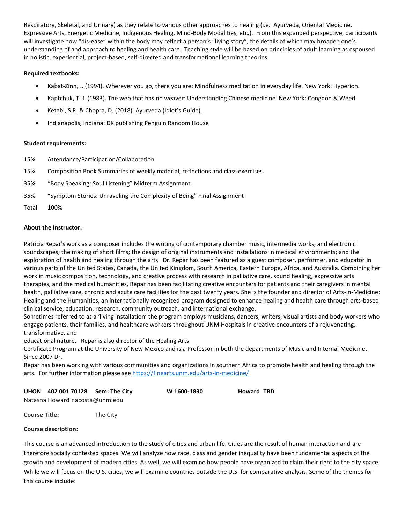Respiratory, Skeletal, and Urinary) as they relate to various other approaches to healing (i.e. Ayurveda, Oriental Medicine, Expressive Arts, Energetic Medicine, Indigenous Healing, Mind-Body Modalities, etc.). From this expanded perspective, participants will investigate how "dis-ease" within the body may reflect a person's "living story", the details of which may broaden one's understanding of and approach to healing and health care. Teaching style will be based on principles of adult learning as espoused in holistic, experiential, project-based, self-directed and transformational learning theories.

# **Required textbooks:**

- Kabat-Zinn, J. (1994). Wherever you go, there you are: Mindfulness meditation in everyday life. New York: Hyperion.
- Kaptchuk, T. J. (1983). The web that has no weaver: Understanding Chinese medicine. New York: Congdon & Weed.
- Ketabi, S.R. & Chopra, D. (2018). Ayurveda (Idiot's Guide).
- Indianapolis, Indiana: DK publishing Penguin Random House

#### **Student requirements:**

- 15% Attendance/Participation/Collaboration
- 15% Composition Book Summaries of weekly material, reflections and class exercises.
- 35% "Body Speaking: Soul Listening" Midterm Assignment
- 35% "Symptom Stories: Unraveling the Complexity of Being" Final Assignment
- Total 100%

# **About the Instructor:**

Patricia Repar's work as a composer includes the writing of contemporary chamber music, intermedia works, and electronic soundscapes; the making of short films; the design of original instruments and installations in medical environments; and the exploration of health and healing through the arts. Dr. Repar has been featured as a guest composer, performer, and educator in various parts of the United States, Canada, the United Kingdom, South America, Eastern Europe, Africa, and Australia. Combining her work in music composition, technology, and creative process with research in palliative care, sound healing, expressive arts therapies, and the medical humanities, Repar has been facilitating creative encounters for patients and their caregivers in mental health, palliative care, chronic and acute care facilities for the past twenty years. She is the founder and director of Arts-in-Medicine: Healing and the Humanities, an internationally recognized program designed to enhance healing and health care through arts-based clinical service, education, research, community outreach, and international exchange.

Sometimes referred to as a 'living installation' the program employs musicians, dancers, writers, visual artists and body workers who engage patients, their families, and healthcare workers throughout UNM Hospitals in creative encounters of a rejuvenating, transformative, and

educational nature. Repar is also director of the Healing Arts

Certificate Program at the University of New Mexico and is a Professor in both the departments of Music and Internal Medicine. Since 2007 Dr.

Repar has been working with various communities and organizations in southern Africa to promote health and healing through the arts. For further information please see<https://finearts.unm.edu/arts-in-medicine/>

<span id="page-40-0"></span>

|  | UHON 402 001 70128 Sem: The City |  | W 1600-1830 | <b>Howard TBD</b> |
|--|----------------------------------|--|-------------|-------------------|
|--|----------------------------------|--|-------------|-------------------|

Natasha Howard nacosta@unm.edu

**Course Title:** The City

# **Course description:**

This course is an advanced introduction to the study of cities and urban life. Cities are the result of human interaction and are therefore socially contested spaces. We will analyze how race, class and gender inequality have been fundamental aspects of the growth and development of modern cities. As well, we will examine how people have organized to claim their right to the city space. While we will focus on the U.S. cities, we will examine countries outside the U.S. for comparative analysis. Some of the themes for this course include: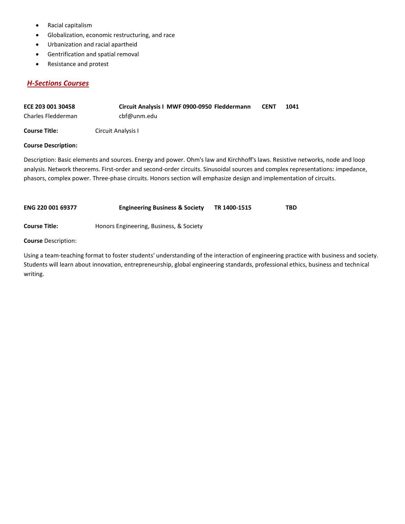- Racial capitalism
- Globalization, economic restructuring, and race
- Urbanization and racial apartheid
- Gentrification and spatial removal
- Resistance and protest

# <span id="page-41-0"></span>*H-Sections Courses*

<span id="page-41-1"></span>

| ECE 203 001 30458    | Circuit Analysis I MWF 0900-0950 Fleddermann | <b>CENT</b> | 1041 |
|----------------------|----------------------------------------------|-------------|------|
| Charles Fledderman   | cbf@unm.edu                                  |             |      |
| <b>Course Title:</b> | Circuit Analysis I                           |             |      |

# **Course Description:**

Description: Basic elements and sources. Energy and power. Ohm's law and Kirchhoff's laws. Resistive networks, node and loop analysis. Network theorems. First-order and second-order circuits. Sinusoidal sources and complex representations: impedance, phasors, complex power. Three-phase circuits. Honors section will emphasize design and implementation of circuits.

<span id="page-41-2"></span>

| <b>ENG 220 001 69377</b> | <b>Engineering Business &amp; Society</b> | TR 1400-1515 | TBD |
|--------------------------|-------------------------------------------|--------------|-----|
| <b>Course Title:</b>     | Honors Engineering, Business, & Society   |              |     |

**Course** Description:

Using a team-teaching format to foster students' understanding of the interaction of engineering practice with business and society. Students will learn about innovation, entrepreneurship, global engineering standards, professional ethics, business and technical writing.